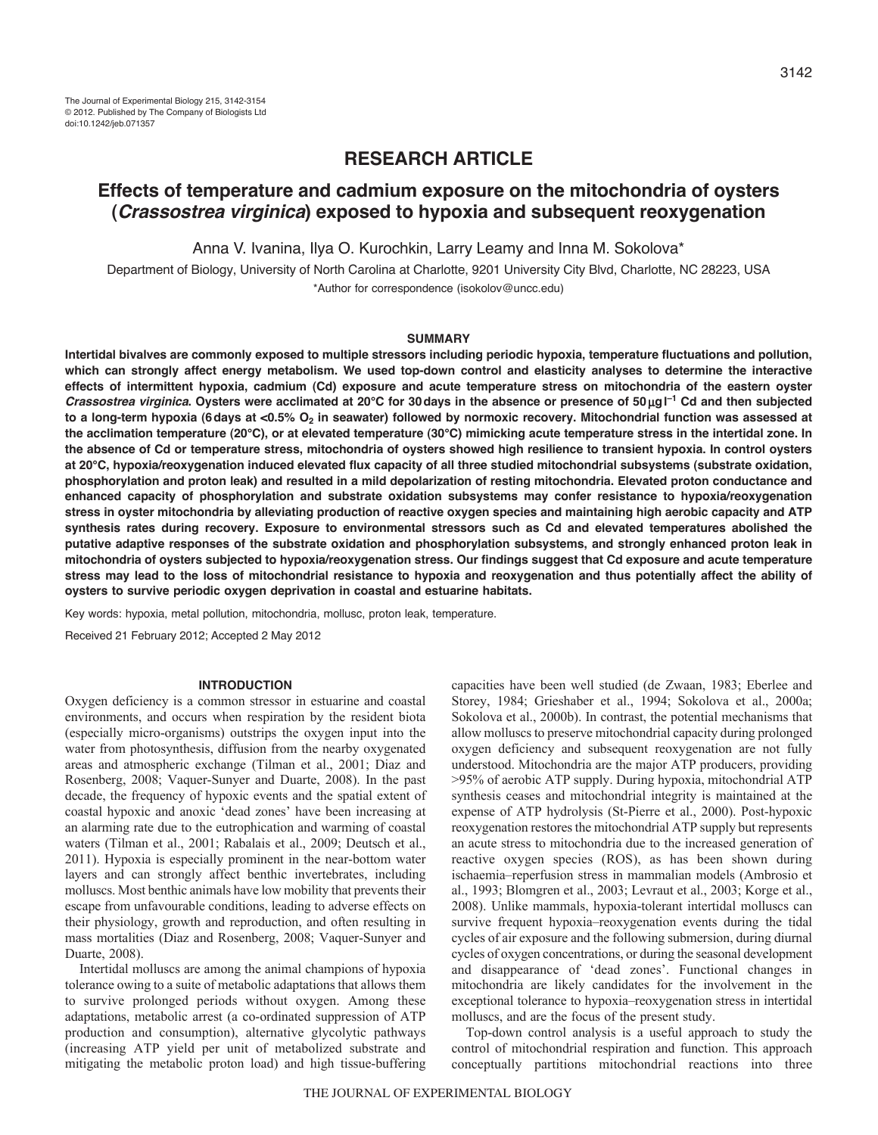# **RESEARCH ARTICLE**

# **Effects of temperature and cadmium exposure on the mitochondria of oysters (***Crassostrea virginica***) exposed to hypoxia and subsequent reoxygenation**

Anna V. Ivanina, Ilya O. Kurochkin, Larry Leamy and Inna M. Sokolova\*

Department of Biology, University of North Carolina at Charlotte, 9201 University City Blvd, Charlotte, NC 28223, USA \*Author for correspondence (isokolov@uncc.edu)

### **SUMMARY**

**Intertidal bivalves are commonly exposed to multiple stressors including periodic hypoxia, temperature fluctuations and pollution, which can strongly affect energy metabolism. We used top-down control and elasticity analyses to determine the interactive effects of intermittent hypoxia, cadmium (Cd) exposure and acute temperature stress on mitochondria of the eastern oyster** *Crassostrea virginica***. Oysters were acclimated at 20°C for 30days in the absence or presence of 50 gl –1 Cd and then subjected** to a long-term hypoxia (6 days at <0.5% O<sub>2</sub> in seawater) followed by normoxic recovery. Mitochondrial function was assessed at **the acclimation temperature (20°C), or at elevated temperature (30°C) mimicking acute temperature stress in the intertidal zone. In the absence of Cd or temperature stress, mitochondria of oysters showed high resilience to transient hypoxia. In control oysters at 20°C, hypoxia/reoxygenation induced elevated flux capacity of all three studied mitochondrial subsystems (substrate oxidation, phosphorylation and proton leak) and resulted in a mild depolarization of resting mitochondria. Elevated proton conductance and enhanced capacity of phosphorylation and substrate oxidation subsystems may confer resistance to hypoxia/reoxygenation stress in oyster mitochondria by alleviating production of reactive oxygen species and maintaining high aerobic capacity and ATP synthesis rates during recovery. Exposure to environmental stressors such as Cd and elevated temperatures abolished the putative adaptive responses of the substrate oxidation and phosphorylation subsystems, and strongly enhanced proton leak in mitochondria of oysters subjected to hypoxia/reoxygenation stress. Our findings suggest that Cd exposure and acute temperature stress may lead to the loss of mitochondrial resistance to hypoxia and reoxygenation and thus potentially affect the ability of oysters to survive periodic oxygen deprivation in coastal and estuarine habitats.**

Key words: hypoxia, metal pollution, mitochondria, mollusc, proton leak, temperature.

Received 21 February 2012; Accepted 2 May 2012

### **INTRODUCTION**

Oxygen deficiency is a common stressor in estuarine and coastal environments, and occurs when respiration by the resident biota (especially micro-organisms) outstrips the oxygen input into the water from photosynthesis, diffusion from the nearby oxygenated areas and atmospheric exchange (Tilman et al., 2001; Diaz and Rosenberg, 2008; Vaquer-Sunyer and Duarte, 2008). In the past decade, the frequency of hypoxic events and the spatial extent of coastal hypoxic and anoxic 'dead zones' have been increasing at an alarming rate due to the eutrophication and warming of coastal waters (Tilman et al., 2001; Rabalais et al., 2009; Deutsch et al., 2011). Hypoxia is especially prominent in the near-bottom water layers and can strongly affect benthic invertebrates, including molluscs. Most benthic animals have low mobility that prevents their escape from unfavourable conditions, leading to adverse effects on their physiology, growth and reproduction, and often resulting in mass mortalities (Diaz and Rosenberg, 2008; Vaquer-Sunyer and Duarte, 2008).

Intertidal molluscs are among the animal champions of hypoxia tolerance owing to a suite of metabolic adaptations that allows them to survive prolonged periods without oxygen. Among these adaptations, metabolic arrest (a co-ordinated suppression of ATP production and consumption), alternative glycolytic pathways (increasing ATP yield per unit of metabolized substrate and mitigating the metabolic proton load) and high tissue-buffering capacities have been well studied (de Zwaan, 1983; Eberlee and Storey, 1984; Grieshaber et al., 1994; Sokolova et al., 2000a; Sokolova et al., 2000b). In contrast, the potential mechanisms that allow molluscs to preserve mitochondrial capacity during prolonged oxygen deficiency and subsequent reoxygenation are not fully understood. Mitochondria are the major ATP producers, providing >95% of aerobic ATP supply. During hypoxia, mitochondrial ATP synthesis ceases and mitochondrial integrity is maintained at the expense of ATP hydrolysis (St-Pierre et al., 2000). Post-hypoxic reoxygenation restores the mitochondrial ATP supply but represents an acute stress to mitochondria due to the increased generation of reactive oxygen species (ROS), as has been shown during ischaemia–reperfusion stress in mammalian models (Ambrosio et al., 1993; Blomgren et al., 2003; Levraut et al., 2003; Korge et al., 2008). Unlike mammals, hypoxia-tolerant intertidal molluscs can survive frequent hypoxia–reoxygenation events during the tidal cycles of air exposure and the following submersion, during diurnal cycles of oxygen concentrations, or during the seasonal development and disappearance of 'dead zones'. Functional changes in mitochondria are likely candidates for the involvement in the exceptional tolerance to hypoxia–reoxygenation stress in intertidal molluscs, and are the focus of the present study.

Top-down control analysis is a useful approach to study the control of mitochondrial respiration and function. This approach conceptually partitions mitochondrial reactions into three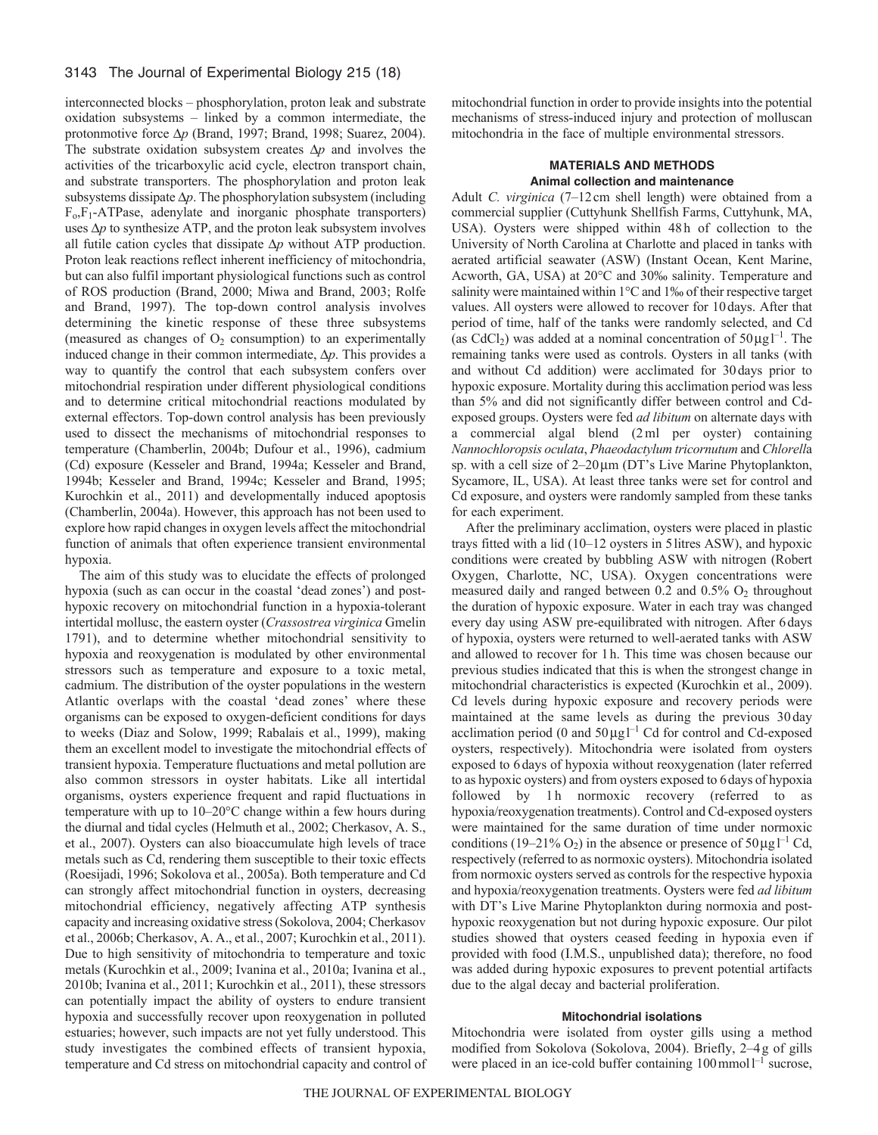interconnected blocks – phosphorylation, proton leak and substrate oxidation subsystems – linked by a common intermediate, the protonmotive force  $\Delta p$  (Brand, 1997; Brand, 1998; Suarez, 2004). The substrate oxidation subsystem creates  $\Delta p$  and involves the activities of the tricarboxylic acid cycle, electron transport chain, and substrate transporters. The phosphorylation and proton leak subsystems dissipate  $\Delta p$ . The phosphorylation subsystem (including  $F_0$ , $F_1$ -ATPase, adenylate and inorganic phosphate transporters) uses  $\Delta p$  to synthesize ATP, and the proton leak subsystem involves all futile cation cycles that dissipate  $\Delta p$  without ATP production. Proton leak reactions reflect inherent inefficiency of mitochondria, but can also fulfil important physiological functions such as control of ROS production (Brand, 2000; Miwa and Brand, 2003; Rolfe and Brand, 1997). The top-down control analysis involves determining the kinetic response of these three subsystems (measured as changes of  $O<sub>2</sub>$  consumption) to an experimentally induced change in their common intermediate,  $\Delta p$ . This provides a way to quantify the control that each subsystem confers over mitochondrial respiration under different physiological conditions and to determine critical mitochondrial reactions modulated by external effectors. Top-down control analysis has been previously used to dissect the mechanisms of mitochondrial responses to temperature (Chamberlin, 2004b; Dufour et al., 1996), cadmium (Cd) exposure (Kesseler and Brand, 1994a; Kesseler and Brand, 1994b; Kesseler and Brand, 1994c; Kesseler and Brand, 1995; Kurochkin et al., 2011) and developmentally induced apoptosis (Chamberlin, 2004a). However, this approach has not been used to explore how rapid changes in oxygen levels affect the mitochondrial function of animals that often experience transient environmental hypoxia.

The aim of this study was to elucidate the effects of prolonged hypoxia (such as can occur in the coastal 'dead zones') and posthypoxic recovery on mitochondrial function in a hypoxia-tolerant intertidal mollusc, the eastern oyster (*Crassostrea virginica* Gmelin 1791), and to determine whether mitochondrial sensitivity to hypoxia and reoxygenation is modulated by other environmental stressors such as temperature and exposure to a toxic metal, cadmium. The distribution of the oyster populations in the western Atlantic overlaps with the coastal 'dead zones' where these organisms can be exposed to oxygen-deficient conditions for days to weeks (Diaz and Solow, 1999; Rabalais et al., 1999), making them an excellent model to investigate the mitochondrial effects of transient hypoxia. Temperature fluctuations and metal pollution are also common stressors in oyster habitats. Like all intertidal organisms, oysters experience frequent and rapid fluctuations in temperature with up to 10–20°C change within a few hours during the diurnal and tidal cycles (Helmuth et al., 2002; Cherkasov, A. S., et al., 2007). Oysters can also bioaccumulate high levels of trace metals such as Cd, rendering them susceptible to their toxic effects (Roesijadi, 1996; Sokolova et al., 2005a). Both temperature and Cd can strongly affect mitochondrial function in oysters, decreasing mitochondrial efficiency, negatively affecting ATP synthesis capacity and increasing oxidative stress (Sokolova, 2004; Cherkasov et al., 2006b; Cherkasov, A. A., et al., 2007; Kurochkin et al., 2011). Due to high sensitivity of mitochondria to temperature and toxic metals (Kurochkin et al., 2009; Ivanina et al., 2010a; Ivanina et al., 2010b; Ivanina et al., 2011; Kurochkin et al., 2011), these stressors can potentially impact the ability of oysters to endure transient hypoxia and successfully recover upon reoxygenation in polluted estuaries; however, such impacts are not yet fully understood. This study investigates the combined effects of transient hypoxia, temperature and Cd stress on mitochondrial capacity and control of mitochondrial function in order to provide insights into the potential mechanisms of stress-induced injury and protection of molluscan mitochondria in the face of multiple environmental stressors.

# **MATERIALS AND METHODS Animal collection and maintenance**

Adult *C. virginica* (7–12cm shell length) were obtained from a commercial supplier (Cuttyhunk Shellfish Farms, Cuttyhunk, MA, USA). Oysters were shipped within 48 h of collection to the University of North Carolina at Charlotte and placed in tanks with aerated artificial seawater (ASW) (Instant Ocean, Kent Marine, Acworth, GA, USA) at 20°C and 30‰ salinity. Temperature and salinity were maintained within 1<sup>o</sup>C and 1‰ of their respective target values. All oysters were allowed to recover for 10days. After that period of time, half of the tanks were randomly selected, and Cd (as CdCl<sub>2</sub>) was added at a nominal concentration of  $50 \mu g l^{-1}$ . The remaining tanks were used as controls. Oysters in all tanks (with and without Cd addition) were acclimated for 30days prior to hypoxic exposure. Mortality during this acclimation period was less than 5% and did not significantly differ between control and Cdexposed groups. Oysters were fed *ad libitum* on alternate days with a commercial algal blend (2ml per oyster) containing *Nannochloropsis oculata*, *Phaeodactylum tricornutum* and *Chlorell*a sp. with a cell size of  $2-20 \mu m$  (DT's Live Marine Phytoplankton, Sycamore, IL, USA). At least three tanks were set for control and Cd exposure, and oysters were randomly sampled from these tanks for each experiment.

After the preliminary acclimation, oysters were placed in plastic trays fitted with a lid (10–12 oysters in 5litres ASW), and hypoxic conditions were created by bubbling ASW with nitrogen (Robert Oxygen, Charlotte, NC, USA). Oxygen concentrations were measured daily and ranged between  $0.2$  and  $0.5\%$  O<sub>2</sub> throughout the duration of hypoxic exposure. Water in each tray was changed every day using ASW pre-equilibrated with nitrogen. After 6days of hypoxia, oysters were returned to well-aerated tanks with ASW and allowed to recover for 1h. This time was chosen because our previous studies indicated that this is when the strongest change in mitochondrial characteristics is expected (Kurochkin et al., 2009). Cd levels during hypoxic exposure and recovery periods were maintained at the same levels as during the previous 30 day acclimation period (0 and  $50 \mu g l^{-1}$  Cd for control and Cd-exposed oysters, respectively). Mitochondria were isolated from oysters exposed to 6days of hypoxia without reoxygenation (later referred to as hypoxic oysters) and from oysters exposed to 6days of hypoxia followed by 1h normoxic recovery (referred to as hypoxia/reoxygenation treatments). Control and Cd-exposed oysters were maintained for the same duration of time under normoxic conditions (19–21% O<sub>2</sub>) in the absence or presence of  $50 \mu g l^{-1} C d$ , respectively (referred to as normoxic oysters). Mitochondria isolated from normoxic oysters served as controls for the respective hypoxia and hypoxia/reoxygenation treatments. Oysters were fed *ad libitum* with DT's Live Marine Phytoplankton during normoxia and posthypoxic reoxygenation but not during hypoxic exposure. Our pilot studies showed that oysters ceased feeding in hypoxia even if provided with food (I.M.S., unpublished data); therefore, no food was added during hypoxic exposures to prevent potential artifacts due to the algal decay and bacterial proliferation.

### **Mitochondrial isolations**

Mitochondria were isolated from oyster gills using a method modified from Sokolova (Sokolova, 2004). Briefly, 2–4g of gills were placed in an ice-cold buffer containing  $100 \text{ mmol}^{-1}$  sucrose,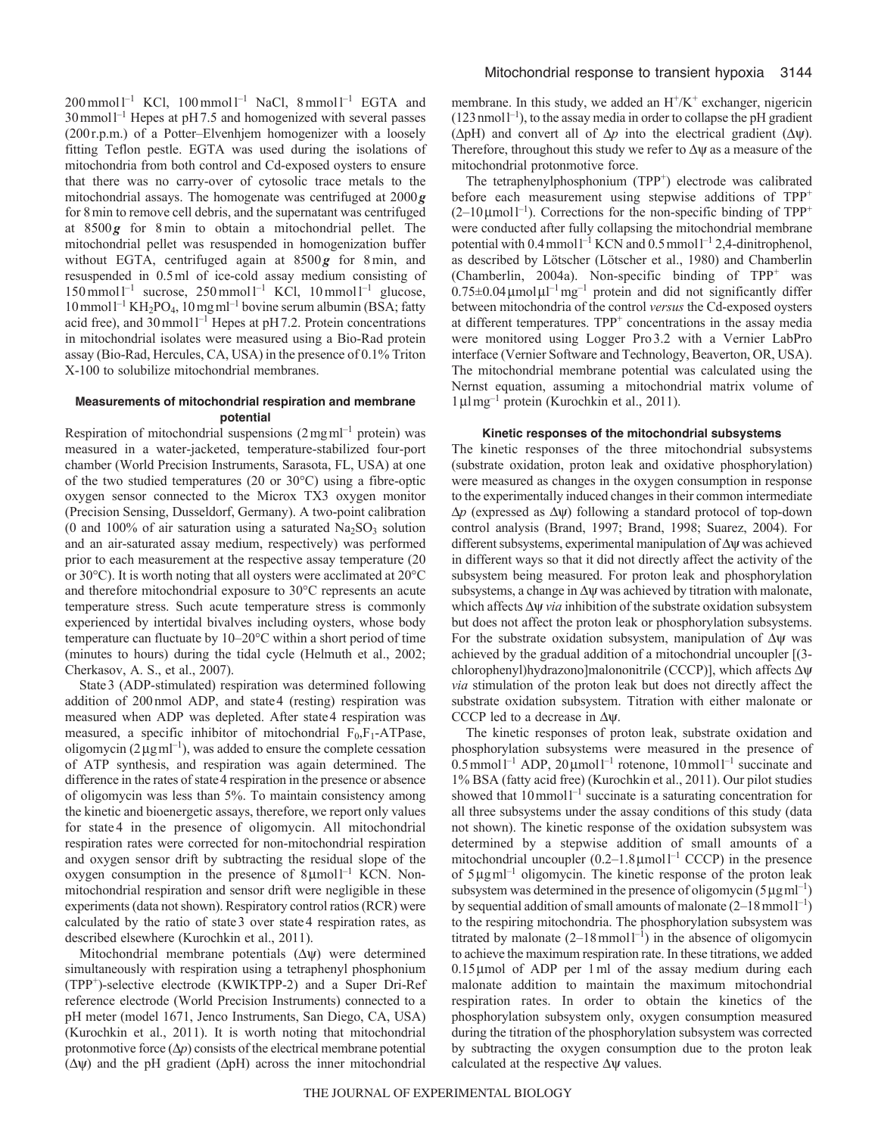$200$  mmol  $l^{-1}$  KCl,  $100$  mmol  $l^{-1}$  NaCl,  $8$  mmol  $l^{-1}$  EGTA and  $30$  mmol<sup>1-1</sup> Hepes at pH7.5 and homogenized with several passes (200r.p.m.) of a Potter–Elvenhjem homogenizer with a loosely fitting Teflon pestle. EGTA was used during the isolations of mitochondria from both control and Cd-exposed oysters to ensure that there was no carry-over of cytosolic trace metals to the mitochondrial assays. The homogenate was centrifuged at 2000*g* for 8min to remove cell debris, and the supernatant was centrifuged at 8500 *g* for 8min to obtain a mitochondrial pellet. The mitochondrial pellet was resuspended in homogenization buffer without EGTA, centrifuged again at 8500g for 8min, and resuspended in 0.5ml of ice-cold assay medium consisting of  $150$  mmol  $l^{-1}$  sucrose,  $250$  mmol  $l^{-1}$  KCl,  $10$  mmol  $l^{-1}$  glucose,  $10$  mmol<sup>1-1</sup> KH<sub>2</sub>PO<sub>4</sub>,  $10$  mg m<sup>1-1</sup> bovine serum albumin (BSA; fatty acid free), and 30 mmol<sup>1-1</sup> Hepes at pH7.2. Protein concentrations in mitochondrial isolates were measured using a Bio-Rad protein assay (Bio-Rad, Hercules, CA, USA) in the presence of 0.1% Triton X-100 to solubilize mitochondrial membranes.

# **Measurements of mitochondrial respiration and membrane potential**

Respiration of mitochondrial suspensions  $(2 \text{ mg} \text{ml}^{-1} \text{ protein})$  was measured in a water-jacketed, temperature-stabilized four-port chamber (World Precision Instruments, Sarasota, FL, USA) at one of the two studied temperatures (20 or 30°C) using a fibre-optic oxygen sensor connected to the Microx TX3 oxygen monitor (Precision Sensing, Dusseldorf, Germany). A two-point calibration (0 and 100% of air saturation using a saturated  $\text{Na}_2\text{SO}_3$  solution and an air-saturated assay medium, respectively) was performed prior to each measurement at the respective assay temperature (20 or 30°C). It is worth noting that all oysters were acclimated at 20°C and therefore mitochondrial exposure to 30°C represents an acute temperature stress. Such acute temperature stress is commonly experienced by intertidal bivalves including oysters, whose body temperature can fluctuate by 10–20°C within a short period of time (minutes to hours) during the tidal cycle (Helmuth et al., 2002; Cherkasov, A. S., et al., 2007).

State3 (ADP-stimulated) respiration was determined following addition of 200nmol ADP, and state4 (resting) respiration was measured when ADP was depleted. After state4 respiration was measured, a specific inhibitor of mitochondrial  $F_0$ ,  $F_1$ -ATPase, oligomycin ( $2 \mu g$ ml<sup>-1</sup>), was added to ensure the complete cessation of ATP synthesis, and respiration was again determined. The difference in the rates of state 4 respiration in the presence or absence of oligomycin was less than 5%. To maintain consistency among the kinetic and bioenergetic assays, therefore, we report only values for state 4 in the presence of oligomycin. All mitochondrial respiration rates were corrected for non-mitochondrial respiration and oxygen sensor drift by subtracting the residual slope of the oxygen consumption in the presence of  $8 \mu$ moll<sup>-1</sup> KCN. Nonmitochondrial respiration and sensor drift were negligible in these experiments (data not shown). Respiratory control ratios (RCR) were calculated by the ratio of state3 over state4 respiration rates, as described elsewhere (Kurochkin et al., 2011).

Mitochondrial membrane potentials  $(\Delta \psi)$  were determined simultaneously with respiration using a tetraphenyl phosphonium (TPP+)-selective electrode (KWIKTPP-2) and a Super Dri-Ref reference electrode (World Precision Instruments) connected to a pH meter (model 1671, Jenco Instruments, San Diego, CA, USA) (Kurochkin et al., 2011). It is worth noting that mitochondrial protonmotive force  $(\Delta p)$  consists of the electrical membrane potential  $(\Delta \psi)$  and the pH gradient ( $\Delta pH$ ) across the inner mitochondrial

membrane. In this study, we added an  $H^+/K^+$  exchanger, nigericin  $(123 \text{ nmol } l^{-1})$ , to the assay media in order to collapse the pH gradient ( $\Delta p$ H) and convert all of  $\Delta p$  into the electrical gradient ( $\Delta \psi$ ). Therefore, throughout this study we refer to  $\Delta \psi$  as a measure of the mitochondrial protonmotive force.

The tetraphenylphosphonium  $(TPP<sup>+</sup>)$  electrode was calibrated before each measurement using stepwise additions of TPP<sup>+</sup>  $(2-10 \mu \text{mol})^{-1}$ ). Corrections for the non-specific binding of TPP<sup>+</sup> were conducted after fully collapsing the mitochondrial membrane potential with  $0.4$  mmoll<sup>-1</sup> KCN and  $0.5$  mmoll<sup>-1</sup> 2,4-dinitrophenol, as described by Lötscher (Lötscher et al., 1980) and Chamberlin (Chamberlin, 2004a). Non-specific binding of  $TPP^+$  was  $0.75 \pm 0.04 \,\mathrm{\mu}$ mol $\mu$ l<sup>-1</sup> mg<sup>-1</sup> protein and did not significantly differ between mitochondria of the control *versus* the Cd-exposed oysters at different temperatures. TPP<sup>+</sup> concentrations in the assay media were monitored using Logger Pro 3.2 with a Vernier LabPro interface (Vernier Software and Technology, Beaverton, OR, USA). The mitochondrial membrane potential was calculated using the Nernst equation, assuming a mitochondrial matrix volume of 1lmg–1 protein (Kurochkin et al., 2011).

#### **Kinetic responses of the mitochondrial subsystems**

The kinetic responses of the three mitochondrial subsystems (substrate oxidation, proton leak and oxidative phosphorylation) were measured as changes in the oxygen consumption in response to the experimentally induced changes in their common intermediate  $\Delta p$  (expressed as  $\Delta \psi$ ) following a standard protocol of top-down control analysis (Brand, 1997; Brand, 1998; Suarez, 2004). For different subsystems, experimental manipulation of  $\Delta \psi$  was achieved in different ways so that it did not directly affect the activity of the subsystem being measured. For proton leak and phosphorylation subsystems, a change in  $\Delta \psi$  was achieved by titration with malonate, which affects  $\Delta \psi$  *via* inhibition of the substrate oxidation subsystem but does not affect the proton leak or phosphorylation subsystems. For the substrate oxidation subsystem, manipulation of  $\Delta \psi$  was achieved by the gradual addition of a mitochondrial uncoupler [(3 chlorophenyl)hydrazono]malononitrile (CCCP)], which affects  $\Delta \psi$ *via* stimulation of the proton leak but does not directly affect the substrate oxidation subsystem. Titration with either malonate or CCCP led to a decrease in  $\Delta \psi$ .

The kinetic responses of proton leak, substrate oxidation and phosphorylation subsystems were measured in the presence of  $0.5$  mmol<sup>1-1</sup> ADP,  $20 \mu$ mol<sup>1-1</sup> rotenone,  $10$  mmol<sup>1-1</sup> succinate and 1% BSA (fatty acid free) (Kurochkin et al., 2011). Our pilot studies showed that  $10$  mmol<sup> $-1$ </sup> succinate is a saturating concentration for all three subsystems under the assay conditions of this study (data not shown). The kinetic response of the oxidation subsystem was determined by a stepwise addition of small amounts of a mitochondrial uncoupler  $(0.2-1.8 \mu mol<sup>-1</sup> CCCP)$  in the presence of  $5\mu\text{g}$ ml<sup>-1</sup> oligomycin. The kinetic response of the proton leak subsystem was determined in the presence of oligomycin  $(5 \mu g \text{m}^{-1})$ by sequential addition of small amounts of malonate  $(2-18$  mmol  $1^{-1})$ to the respiring mitochondria. The phosphorylation subsystem was titrated by malonate  $(2-18 \text{ mmol1}^{-1})$  in the absence of oligomycin to achieve the maximum respiration rate. In these titrations, we added  $0.15 \mu$ mol of ADP per 1 ml of the assay medium during each malonate addition to maintain the maximum mitochondrial respiration rates. In order to obtain the kinetics of the phosphorylation subsystem only, oxygen consumption measured during the titration of the phosphorylation subsystem was corrected by subtracting the oxygen consumption due to the proton leak calculated at the respective  $\Delta \psi$  values.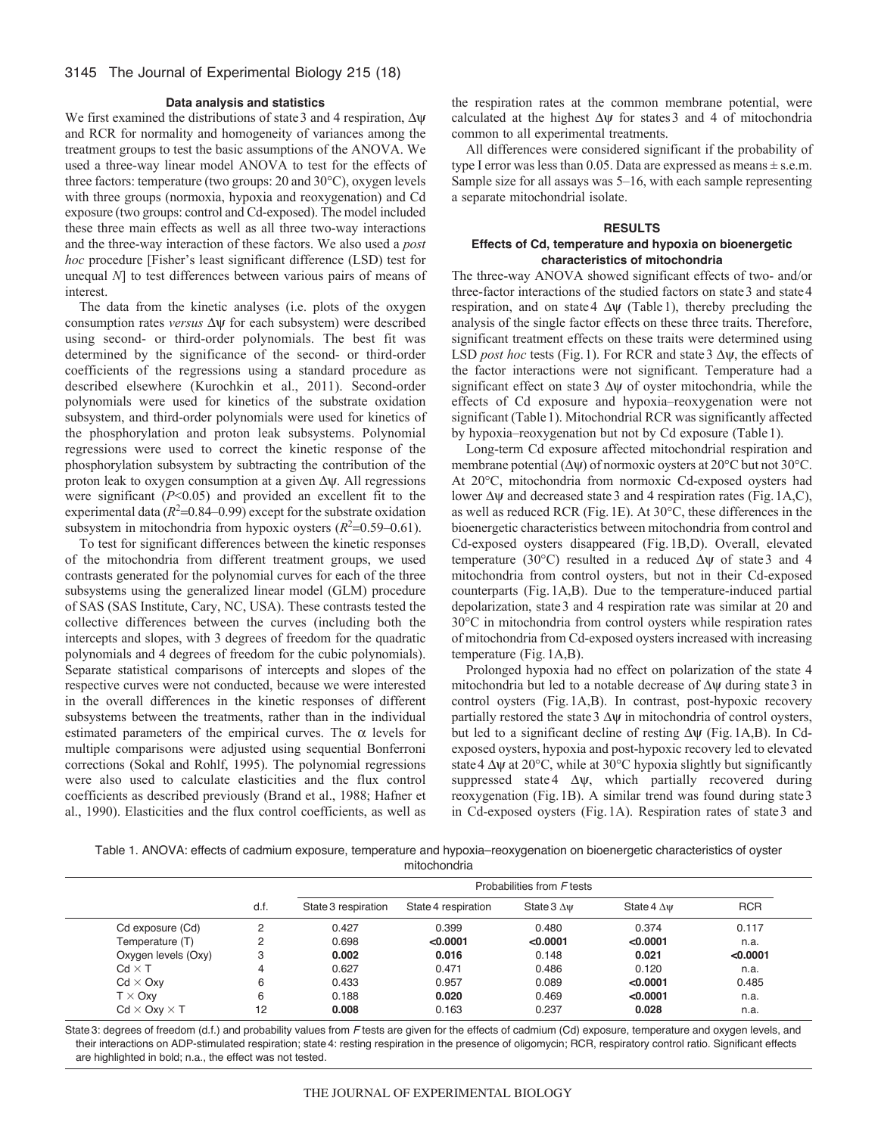### **Data analysis and statistics**

We first examined the distributions of state 3 and 4 respiration,  $\Delta \psi$ and RCR for normality and homogeneity of variances among the treatment groups to test the basic assumptions of the ANOVA. We used a three-way linear model ANOVA to test for the effects of three factors: temperature (two groups: 20 and 30°C), oxygen levels with three groups (normoxia, hypoxia and reoxygenation) and Cd exposure (two groups: control and Cd-exposed). The model included these three main effects as well as all three two-way interactions and the three-way interaction of these factors. We also used a *post hoc* procedure [Fisher's least significant difference (LSD) test for unequal *N*] to test differences between various pairs of means of interest.

The data from the kinetic analyses (i.e. plots of the oxygen consumption rates *versus*  $\Delta \psi$  for each subsystem) were described using second- or third-order polynomials. The best fit was determined by the significance of the second- or third-order coefficients of the regressions using a standard procedure as described elsewhere (Kurochkin et al., 2011). Second-order polynomials were used for kinetics of the substrate oxidation subsystem, and third-order polynomials were used for kinetics of the phosphorylation and proton leak subsystems. Polynomial regressions were used to correct the kinetic response of the phosphorylation subsystem by subtracting the contribution of the proton leak to oxygen consumption at a given  $\Delta \psi$ . All regressions were significant (*P*<0.05) and provided an excellent fit to the experimental data  $(R<sup>2</sup>=0.84-0.99)$  except for the substrate oxidation subsystem in mitochondria from hypoxic oysters  $(R^2=0.59-0.61)$ .

To test for significant differences between the kinetic responses of the mitochondria from different treatment groups, we used contrasts generated for the polynomial curves for each of the three subsystems using the generalized linear model (GLM) procedure of SAS (SAS Institute, Cary, NC, USA). These contrasts tested the collective differences between the curves (including both the intercepts and slopes, with 3 degrees of freedom for the quadratic polynomials and 4 degrees of freedom for the cubic polynomials). Separate statistical comparisons of intercepts and slopes of the respective curves were not conducted, because we were interested in the overall differences in the kinetic responses of different subsystems between the treatments, rather than in the individual estimated parameters of the empirical curves. The  $\alpha$  levels for multiple comparisons were adjusted using sequential Bonferroni corrections (Sokal and Rohlf, 1995). The polynomial regressions were also used to calculate elasticities and the flux control coefficients as described previously (Brand et al., 1988; Hafner et al., 1990). Elasticities and the flux control coefficients, as well as

the respiration rates at the common membrane potential, were calculated at the highest  $\Delta \psi$  for states 3 and 4 of mitochondria common to all experimental treatments.

All differences were considered significant if the probability of type I error was less than 0.05. Data are expressed as means  $\pm$  s.e.m. Sample size for all assays was 5–16, with each sample representing a separate mitochondrial isolate.

# **RESULTS**

# **Effects of Cd, temperature and hypoxia on bioenergetic characteristics of mitochondria**

The three-way ANOVA showed significant effects of two- and/or three-factor interactions of the studied factors on state 3 and state 4 respiration, and on state 4  $\Delta \psi$  (Table 1), thereby precluding the analysis of the single factor effects on these three traits. Therefore, significant treatment effects on these traits were determined using LSD *post hoc* tests (Fig. 1). For RCR and state  $3 \Delta \psi$ , the effects of the factor interactions were not significant. Temperature had a significant effect on state  $3 \Delta \psi$  of oyster mitochondria, while the effects of Cd exposure and hypoxia–reoxygenation were not significant (Table 1). Mitochondrial RCR was significantly affected by hypoxia–reoxygenation but not by Cd exposure (Table1).

Long-term Cd exposure affected mitochondrial respiration and membrane potential  $(\Delta \psi)$  of normoxic oysters at 20 $^{\circ}$ C but not 30 $^{\circ}$ C. At 20°C, mitochondria from normoxic Cd-exposed oysters had lower  $\Delta \psi$  and decreased state 3 and 4 respiration rates (Fig. 1A,C), as well as reduced RCR (Fig.1E). At 30°C, these differences in the bioenergetic characteristics between mitochondria from control and Cd-exposed oysters disappeared (Fig. 1B,D). Overall, elevated temperature (30 $^{\circ}$ C) resulted in a reduced  $\Delta \psi$  of state 3 and 4 mitochondria from control oysters, but not in their Cd-exposed counterparts (Fig.1A,B). Due to the temperature-induced partial depolarization, state3 and 4 respiration rate was similar at 20 and 30°C in mitochondria from control oysters while respiration rates of mitochondria from Cd-exposed oysters increased with increasing temperature (Fig.1A,B).

Prolonged hypoxia had no effect on polarization of the state 4 mitochondria but led to a notable decrease of  $\Delta \psi$  during state 3 in control oysters (Fig.1A,B). In contrast, post-hypoxic recovery partially restored the state  $3 \Delta \psi$  in mitochondria of control oysters, but led to a significant decline of resting  $\Delta \psi$  (Fig. 1A,B). In Cdexposed oysters, hypoxia and post-hypoxic recovery led to elevated state 4  $\Delta \psi$  at 20°C, while at 30°C hypoxia slightly but significantly suppressed state 4  $\Delta \psi$ , which partially recovered during reoxygenation (Fig.1B). A similar trend was found during state3 in Cd-exposed oysters (Fig.1A). Respiration rates of state3 and

Table 1. ANOVA: effects of cadmium exposure, temperature and hypoxia–reoxygenation on bioenergetic characteristics of oyster mitochondria

|                          |      |                     |                     | Probabilities from F tests |                    |            |
|--------------------------|------|---------------------|---------------------|----------------------------|--------------------|------------|
|                          | d.f. | State 3 respiration | State 4 respiration | State $3 \Delta \Psi$      | State 4 $\Delta$ w | <b>RCR</b> |
| Cd exposure (Cd)         | 2    | 0.427               | 0.399               | 0.480                      | 0.374              | 0.117      |
| Temperature (T)          | 2    | 0.698               | < 0.0001            | < 0.0001                   | < 0.0001           | n.a.       |
| Oxygen levels (Oxy)      | 3    | 0.002               | 0.016               | 0.148                      | 0.021              | < 0.0001   |
| $Cd \times T$            |      | 0.627               | 0.471               | 0.486                      | 0.120              | n.a.       |
| $Cd \times Oxy$          | 6    | 0.433               | 0.957               | 0.089                      | < 0.0001           | 0.485      |
| $T \times OxV$           | 6    | 0.188               | 0.020               | 0.469                      | < 0.0001           | n.a.       |
| $Cd \times Oxy \times T$ | 12   | 0.008               | 0.163               | 0.237                      | 0.028              | n.a.       |

State 3: degrees of freedom (d.f.) and probability values from *F* tests are given for the effects of cadmium (Cd) exposure, temperature and oxygen levels, and their interactions on ADP-stimulated respiration; state 4: resting respiration in the presence of oligomycin; RCR, respiratory control ratio. Significant effects are highlighted in bold; n.a., the effect was not tested.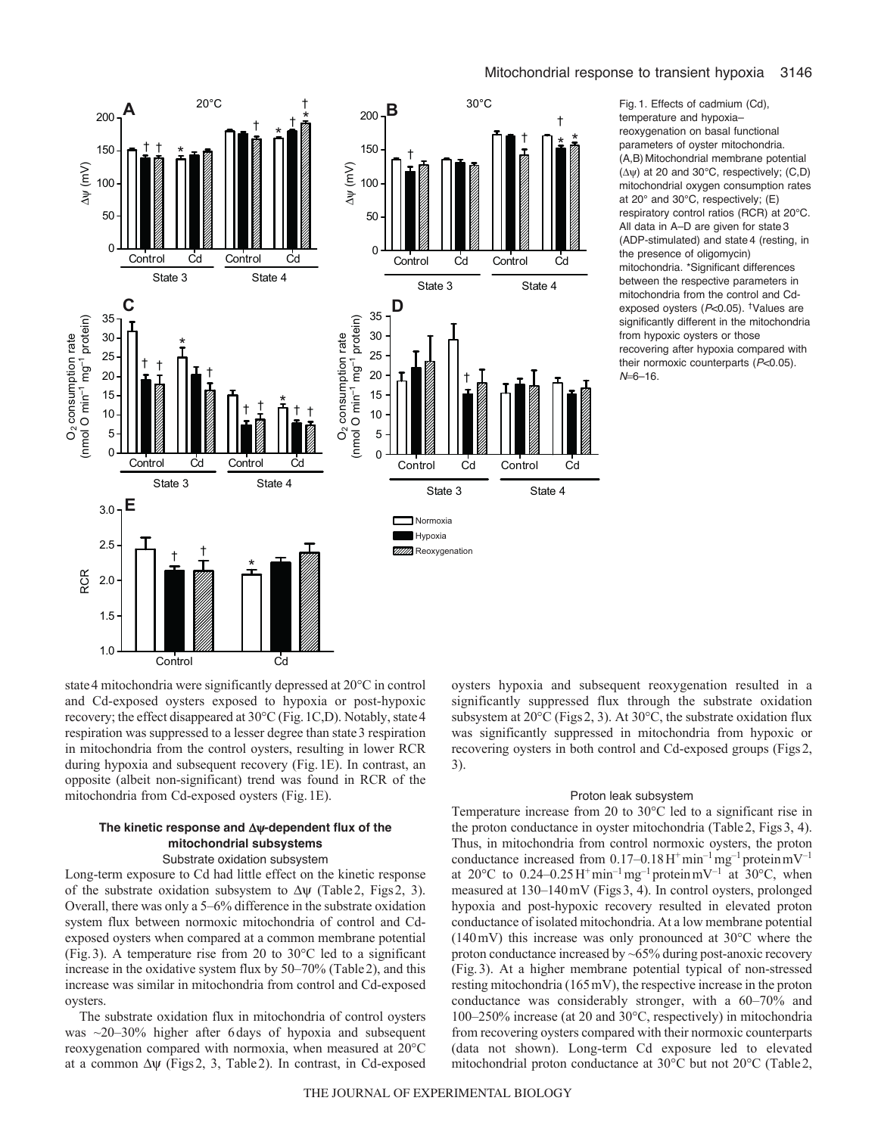

temperature and hypoxia– reoxygenation on basal functional parameters of oyster mitochondria. (A,B) Mitochondrial membrane potential  $(\Delta \psi)$  at 20 and 30°C, respectively; (C,D) mitochondrial oxygen consumption rates at 20° and 30°C, respectively; (E) respiratory control ratios (RCR) at 20°C. All data in A–D are given for state 3 (ADP-stimulated) and state 4 (resting, in the presence of oligomycin) mitochondria. \*Significant differences between the respective parameters in mitochondria from the control and Cdexposed oysters (*P*<0.05). †Values are significantly different in the mitochondria from hypoxic oysters or those recovering after hypoxia compared with their normoxic counterparts (*P*<0.05).  $N=6-16$ .

state4 mitochondria were significantly depressed at 20°C in control and Cd-exposed oysters exposed to hypoxia or post-hypoxic recovery; the effect disappeared at 30°C (Fig.1C,D). Notably, state4 respiration was suppressed to a lesser degree than state 3 respiration in mitochondria from the control oysters, resulting in lower RCR during hypoxia and subsequent recovery (Fig.1E). In contrast, an opposite (albeit non-significant) trend was found in RCR of the mitochondria from Cd-exposed oysters (Fig.1E).

### The kinetic response and  $\Delta y$ -dependent flux of the **mitochondrial subsystems** Substrate oxidation subsystem

Long-term exposure to Cd had little effect on the kinetic response of the substrate oxidation subsystem to  $\Delta \psi$  (Table 2, Figs 2, 3). Overall, there was only a 5–6% difference in the substrate oxidation system flux between normoxic mitochondria of control and Cdexposed oysters when compared at a common membrane potential (Fig.3). A temperature rise from 20 to 30°C led to a significant increase in the oxidative system flux by 50–70% (Table2), and this increase was similar in mitochondria from control and Cd-exposed oysters.

The substrate oxidation flux in mitochondria of control oysters was *~*20–30% higher after 6days of hypoxia and subsequent reoxygenation compared with normoxia, when measured at 20°C at a common  $\Delta \psi$  (Figs2, 3, Table2). In contrast, in Cd-exposed

oysters hypoxia and subsequent reoxygenation resulted in a significantly suppressed flux through the substrate oxidation subsystem at 20°C (Figs2, 3). At 30°C, the substrate oxidation flux was significantly suppressed in mitochondria from hypoxic or recovering oysters in both control and Cd-exposed groups (Figs2, 3).

### Proton leak subsystem

Temperature increase from 20 to 30°C led to a significant rise in the proton conductance in oyster mitochondria (Table2, Figs3, 4). Thus, in mitochondria from control normoxic oysters, the proton conductance increased from  $0.17-0.18 \text{H}^+ \text{min}^{-1} \text{mg}^{-1}$  protein  $\text{mV}^{-1}$ at 20 $^{\circ}$ C to 0.24–0.25 H<sup>+</sup>min<sup>-1</sup> mg<sup>-1</sup> proteinmV<sup>-1</sup> at 30 $^{\circ}$ C, when measured at 130–140mV (Figs3, 4). In control oysters, prolonged hypoxia and post-hypoxic recovery resulted in elevated proton conductance of isolated mitochondria. At a low membrane potential (140mV) this increase was only pronounced at 30°C where the proton conductance increased by ~65% during post-anoxic recovery (Fig.3). At a higher membrane potential typical of non-stressed resting mitochondria (165mV), the respective increase in the proton conductance was considerably stronger, with a 60–70% and 100–250% increase (at 20 and 30°C, respectively) in mitochondria from recovering oysters compared with their normoxic counterparts (data not shown). Long-term Cd exposure led to elevated mitochondrial proton conductance at 30°C but not 20°C (Table2,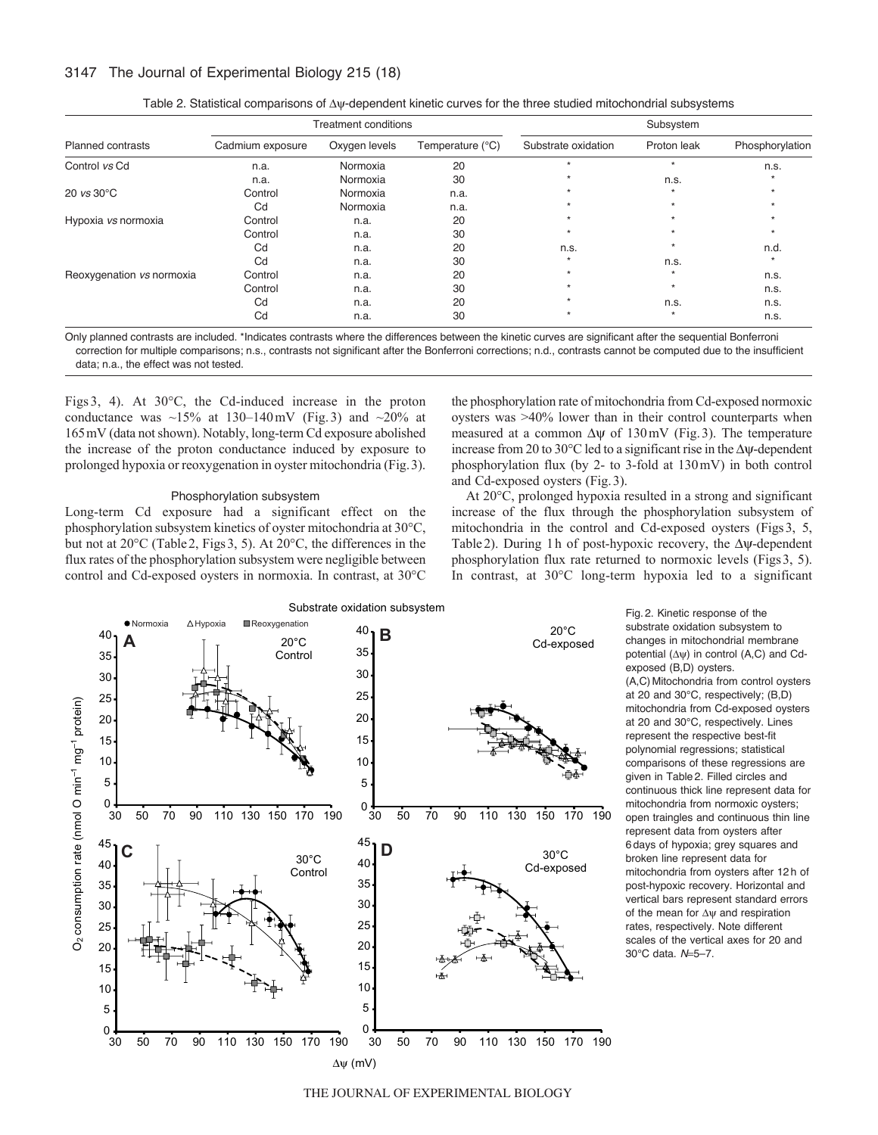# 3147 The Journal of Experimental Biology 215 (18)

|                           |                  | <b>Treatment conditions</b> |                  |                     | Subsystem   |                 |
|---------------------------|------------------|-----------------------------|------------------|---------------------|-------------|-----------------|
| <b>Planned contrasts</b>  | Cadmium exposure | Oxygen levels               | Temperature (°C) | Substrate oxidation | Proton leak | Phosphorylation |
| Control vs Cd             | n.a.             | Normoxia                    | 20               |                     |             | n.s.            |
|                           | n.a.             | Normoxia                    | 30               |                     | n.s.        |                 |
| 20 $vs$ 30 $°C$           | Control          | Normoxia                    | n.a.             |                     |             |                 |
|                           | Cd               | Normoxia                    | n.a.             |                     |             |                 |
| Hypoxia vs normoxia       | Control          | n.a.                        | 20               |                     |             |                 |
|                           | Control          | n.a.                        | 30               |                     |             |                 |
|                           | Cd               | n.a.                        | 20               | n.s.                |             | n.d.            |
|                           | Cd               | n.a.                        | 30               |                     | n.s.        |                 |
| Reoxygenation vs normoxia | Control          | n.a.                        | 20               |                     |             | n.s.            |
|                           | Control          | n.a.                        | 30               |                     |             | n.s.            |
|                           | Cd               | n.a.                        | 20               |                     | n.s.        | n.s.            |
|                           | Cd               | n.a.                        | 30               |                     |             | n.s.            |

| Table 2. Statistical comparisons of $\Delta y$ -dependent kinetic curves for the three studied mitochondrial subsystems |
|-------------------------------------------------------------------------------------------------------------------------|
|-------------------------------------------------------------------------------------------------------------------------|

Only planned contrasts are included. \*Indicates contrasts where the differences between the kinetic curves are significant after the sequential Bonferroni correction for multiple comparisons; n.s., contrasts not significant after the Bonferroni corrections; n.d., contrasts cannot be computed due to the insufficient data; n.a., the effect was not tested.

Figs 3, 4). At 30°C, the Cd-induced increase in the proton conductance was  $\sim$ 15% at 130–140 mV (Fig. 3) and  $\sim$ 20% at 165mV (data not shown). Notably, long-term Cd exposure abolished the increase of the proton conductance induced by exposure to prolonged hypoxia or reoxygenation in oyster mitochondria (Fig.3).

### Phosphorylation subsystem

Long-term Cd exposure had a significant effect on the phosphorylation subsystem kinetics of oyster mitochondria at 30°C, but not at 20°C (Table 2, Figs 3, 5). At 20°C, the differences in the flux rates of the phosphorylation subsystem were negligible between control and Cd-exposed oysters in normoxia. In contrast, at 30°C the phosphorylation rate of mitochondria from Cd-exposed normoxic oysters was >40% lower than in their control counterparts when measured at a common  $\Delta \psi$  of 130mV (Fig. 3). The temperature increase from 20 to 30 $^{\circ}$ C led to a significant rise in the  $\Delta \psi$ -dependent phosphorylation flux (by 2- to 3-fold at 130mV) in both control and Cd-exposed oysters (Fig.3).

At 20°C, prolonged hypoxia resulted in a strong and significant increase of the flux through the phosphorylation subsystem of mitochondria in the control and Cd-exposed oysters (Figs3, 5, Table 2). During 1h of post-hypoxic recovery, the  $\Delta \psi$ -dependent phosphorylation flux rate returned to normoxic levels (Figs3, 5). In contrast, at 30°C long-term hypoxia led to a significant



Fig. 2. Kinetic response of the substrate oxidation subsystem to changes in mitochondrial membrane potential  $(\Delta \psi)$  in control (A,C) and Cdexposed (B,D) oysters. (A,C) Mitochondria from control oysters at 20 and 30°C, respectively; (B,D) mitochondria from Cd-exposed oysters at 20 and 30°C, respectively. Lines represent the respective best-fit polynomial regressions; statistical comparisons of these regressions are given in Table 2. Filled circles and continuous thick line represent data for mitochondria from normoxic oysters; open traingles and continuous thin line represent data from oysters after 6 days of hypoxia; grey squares and broken line represent data for mitochondria from oysters after 12 h of post-hypoxic recovery. Horizontal and vertical bars represent standard errors of the mean for  $\Delta w$  and respiration rates, respectively. Note different scales of the vertical axes for 20 and 30°C data. *N*=5-7.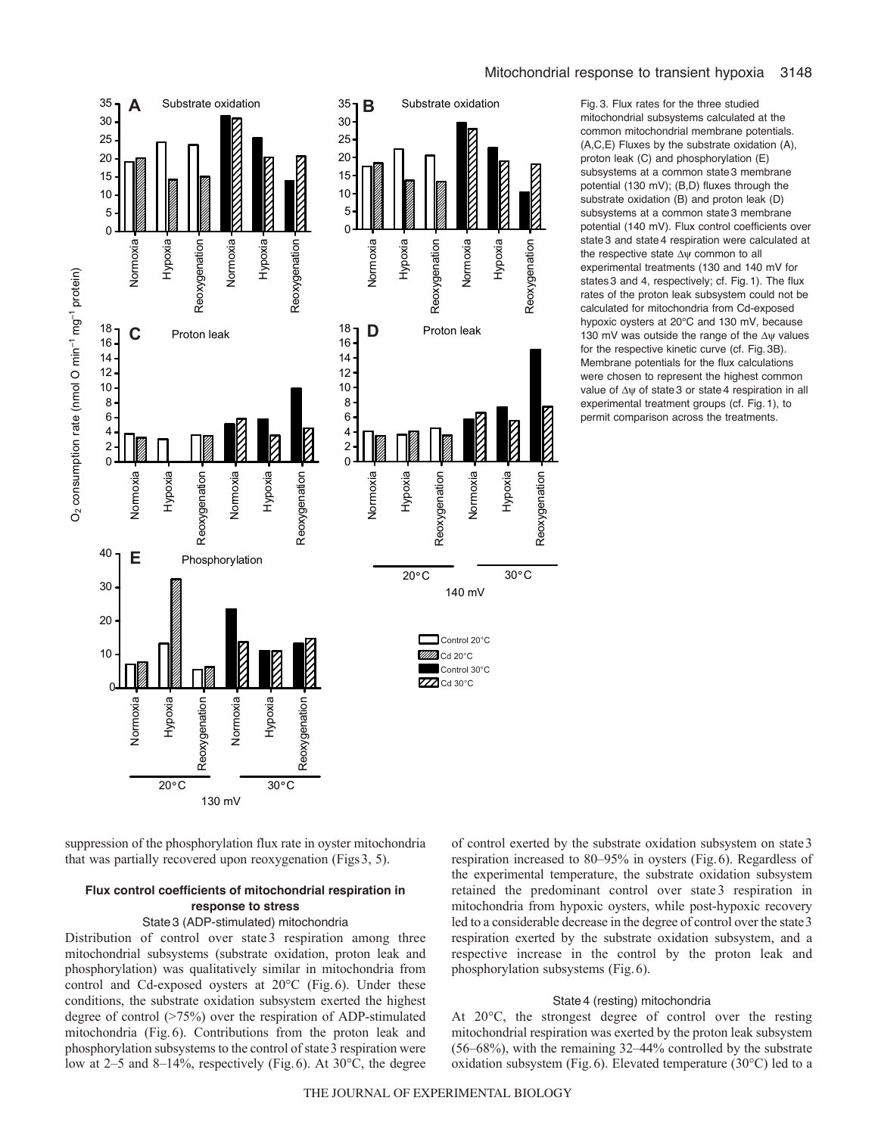

Fig. 3. Flux rates for the three studied mitochondrial subsystems calculated at the common mitochondrial membrane potentials. (A,C,E) Fluxes by the substrate oxidation (A), proton leak (C) and phosphorylation (E) subsystems at a common state 3 membrane potential (130 mV); (B,D) fluxes through the substrate oxidation (B) and proton leak (D) subsystems at a common state 3 membrane potential (140 mV). Flux control coefficients over state 3 and state 4 respiration were calculated at the respective state  $\Delta \psi$  common to all experimental treatments (130 and 140 mV for states 3 and 4, respectively; cf. Fig. 1). The flux rates of the proton leak subsystem could not be calculated for mitochondria from Cd-exposed hypoxic oysters at 20°C and 130 mV, because 130 mV was outside the range of the  $\Delta \psi$  values for the respective kinetic curve (cf. Fig. 3B). Membrane potentials for the flux calculations were chosen to represent the highest common value of  $\Delta y$  of state 3 or state 4 respiration in all experimental treatment groups (cf. Fig. 1), to permit comparison across the treatments.

suppression of the phosphorylation flux rate in oyster mitochondria that was partially recovered upon reoxygenation (Figs3, 5).

# **Flux control coefficients of mitochondrial respiration in response to stress**

### State3 (ADP-stimulated) mitochondria

Distribution of control over state 3 respiration among three mitochondrial subsystems (substrate oxidation, proton leak and phosphorylation) was qualitatively similar in mitochondria from control and Cd-exposed oysters at 20°C (Fig.6). Under these conditions, the substrate oxidation subsystem exerted the highest degree of control (>75%) over the respiration of ADP-stimulated mitochondria (Fig.6). Contributions from the proton leak and phosphorylation subsystems to the control of state3 respiration were low at 2–5 and 8–14%, respectively (Fig.6). At 30°C, the degree

of control exerted by the substrate oxidation subsystem on state3 respiration increased to 80–95% in oysters (Fig.6). Regardless of the experimental temperature, the substrate oxidation subsystem retained the predominant control over state 3 respiration in mitochondria from hypoxic oysters, while post-hypoxic recovery led to a considerable decrease in the degree of control over the state3 respiration exerted by the substrate oxidation subsystem, and a respective increase in the control by the proton leak and phosphorylation subsystems (Fig.6).

### State4 (resting) mitochondria

At 20°C, the strongest degree of control over the resting mitochondrial respiration was exerted by the proton leak subsystem (56–68%), with the remaining 32–44% controlled by the substrate oxidation subsystem (Fig.6). Elevated temperature (30°C) led to a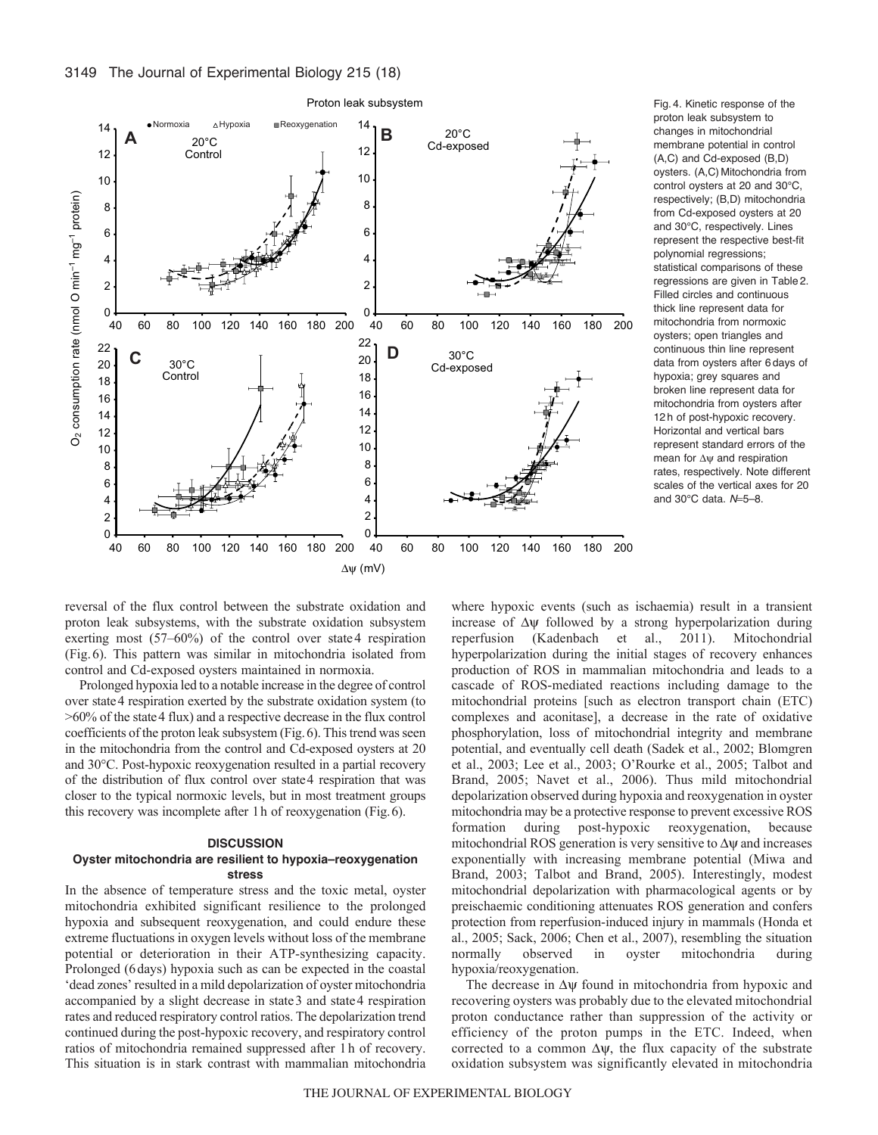

Fig. 4. Kinetic response of the proton leak subsystem to changes in mitochondrial membrane potential in control (A,C) and Cd-exposed (B,D) oysters. (A,C) Mitochondria from control oysters at 20 and 30°C, respectively; (B,D) mitochondria from Cd-exposed oysters at 20 and 30°C, respectively. Lines represent the respective best-fit polynomial regressions; statistical comparisons of these regressions are given in Table 2. Filled circles and continuous thick line represent data for mitochondria from normoxic oysters; open triangles and continuous thin line represent data from oysters after 6 days of hypoxia; grey squares and broken line represent data for mitochondria from oysters after 12 h of post-hypoxic recovery. Horizontal and vertical bars represent standard errors of the mean for  $\Delta \psi$  and respiration rates, respectively. Note different scales of the vertical axes for 20 and 30°C data.  $N=5-8$ .

reversal of the flux control between the substrate oxidation and proton leak subsystems, with the substrate oxidation subsystem exerting most (57–60%) of the control over state4 respiration (Fig.6). This pattern was similar in mitochondria isolated from control and Cd-exposed oysters maintained in normoxia.

Prolonged hypoxia led to a notable increase in the degree of control over state4 respiration exerted by the substrate oxidation system (to >60% of the state4 flux) and a respective decrease in the flux control coefficients of the proton leak subsystem (Fig.6). This trend was seen in the mitochondria from the control and Cd-exposed oysters at 20 and 30°C. Post-hypoxic reoxygenation resulted in a partial recovery of the distribution of flux control over state4 respiration that was closer to the typical normoxic levels, but in most treatment groups this recovery was incomplete after 1h of reoxygenation (Fig.6).

# **DISCUSSION**

## **Oyster mitochondria are resilient to hypoxia–reoxygenation stress**

In the absence of temperature stress and the toxic metal, oyster mitochondria exhibited significant resilience to the prolonged hypoxia and subsequent reoxygenation, and could endure these extreme fluctuations in oxygen levels without loss of the membrane potential or deterioration in their ATP-synthesizing capacity. Prolonged (6days) hypoxia such as can be expected in the coastal 'dead zones' resulted in a mild depolarization of oyster mitochondria accompanied by a slight decrease in state3 and state4 respiration rates and reduced respiratory control ratios. The depolarization trend continued during the post-hypoxic recovery, and respiratory control ratios of mitochondria remained suppressed after 1h of recovery. This situation is in stark contrast with mammalian mitochondria where hypoxic events (such as ischaemia) result in a transient increase of  $\Delta \psi$  followed by a strong hyperpolarization during reperfusion (Kadenbach et al., 2011). Mitochondrial hyperpolarization during the initial stages of recovery enhances production of ROS in mammalian mitochondria and leads to a cascade of ROS-mediated reactions including damage to the mitochondrial proteins [such as electron transport chain (ETC) complexes and aconitase], a decrease in the rate of oxidative phosphorylation, loss of mitochondrial integrity and membrane potential, and eventually cell death (Sadek et al., 2002; Blomgren et al., 2003; Lee et al., 2003; O'Rourke et al., 2005; Talbot and Brand, 2005; Navet et al., 2006). Thus mild mitochondrial depolarization observed during hypoxia and reoxygenation in oyster mitochondria may be a protective response to prevent excessive ROS formation during post-hypoxic reoxygenation, because mitochondrial ROS generation is very sensitive to  $\Delta \psi$  and increases exponentially with increasing membrane potential (Miwa and Brand, 2003; Talbot and Brand, 2005). Interestingly, modest mitochondrial depolarization with pharmacological agents or by preischaemic conditioning attenuates ROS generation and confers protection from reperfusion-induced injury in mammals (Honda et al., 2005; Sack, 2006; Chen et al., 2007), resembling the situation normally observed in oyster mitochondria during hypoxia/reoxygenation.

The decrease in  $\Delta \psi$  found in mitochondria from hypoxic and recovering oysters was probably due to the elevated mitochondrial proton conductance rather than suppression of the activity or efficiency of the proton pumps in the ETC. Indeed, when corrected to a common  $\Delta \psi$ , the flux capacity of the substrate oxidation subsystem was significantly elevated in mitochondria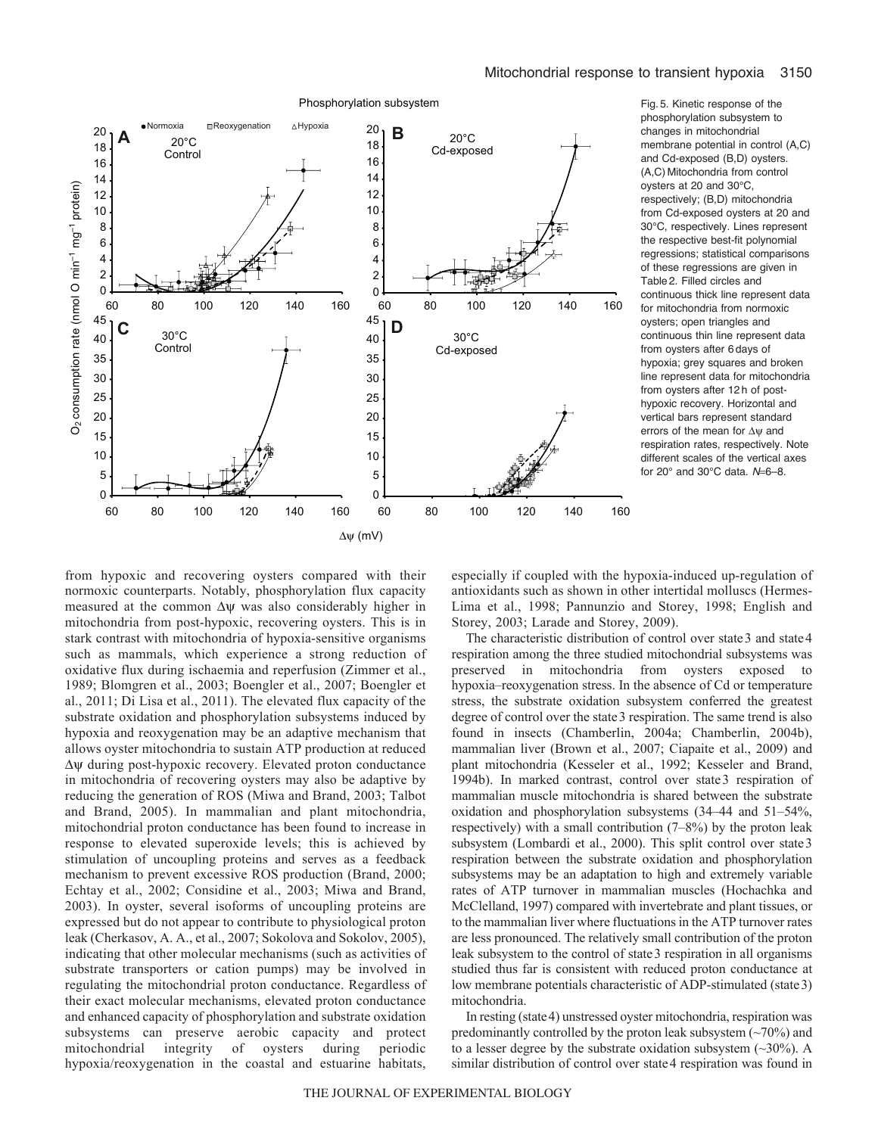



Phosphorylation subsystem

Fig. 5. Kinetic response of the phosphorylation subsystem to changes in mitochondrial membrane potential in control (A,C) and Cd-exposed (B,D) oysters. (A,C) Mitochondria from control oysters at 20 and 30°C, respectively; (B,D) mitochondria from Cd-exposed oysters at 20 and 30°C, respectively. Lines represent the respective best-fit polynomial regressions; statistical comparisons of these regressions are given in Table 2. Filled circles and continuous thick line represent data for mitochondria from normoxic oysters; open triangles and continuous thin line represent data from oysters after 6 days of hypoxia; grey squares and broken line represent data for mitochondria from oysters after 12 h of posthypoxic recovery. Horizontal and vertical bars represent standard errors of the mean for  $\Delta \psi$  and respiration rates, respectively. Note different scales of the vertical axes for 20° and 30°C data. N=6-8.

from hypoxic and recovering oysters compared with their normoxic counterparts. Notably, phosphorylation flux capacity measured at the common  $\Delta \psi$  was also considerably higher in mitochondria from post-hypoxic, recovering oysters. This is in stark contrast with mitochondria of hypoxia-sensitive organisms such as mammals, which experience a strong reduction of oxidative flux during ischaemia and reperfusion (Zimmer et al., 1989; Blomgren et al., 2003; Boengler et al., 2007; Boengler et al., 2011; Di Lisa et al., 2011). The elevated flux capacity of the substrate oxidation and phosphorylation subsystems induced by hypoxia and reoxygenation may be an adaptive mechanism that allows oyster mitochondria to sustain ATP production at reduced  $\Delta \psi$  during post-hypoxic recovery. Elevated proton conductance in mitochondria of recovering oysters may also be adaptive by reducing the generation of ROS (Miwa and Brand, 2003; Talbot and Brand, 2005). In mammalian and plant mitochondria, mitochondrial proton conductance has been found to increase in response to elevated superoxide levels; this is achieved by stimulation of uncoupling proteins and serves as a feedback mechanism to prevent excessive ROS production (Brand, 2000; Echtay et al., 2002; Considine et al., 2003; Miwa and Brand, 2003). In oyster, several isoforms of uncoupling proteins are expressed but do not appear to contribute to physiological proton leak (Cherkasov, A. A., et al., 2007; Sokolova and Sokolov, 2005), indicating that other molecular mechanisms (such as activities of substrate transporters or cation pumps) may be involved in regulating the mitochondrial proton conductance. Regardless of their exact molecular mechanisms, elevated proton conductance and enhanced capacity of phosphorylation and substrate oxidation subsystems can preserve aerobic capacity and protect mitochondrial integrity of oysters during periodic hypoxia/reoxygenation in the coastal and estuarine habitats,

especially if coupled with the hypoxia-induced up-regulation of antioxidants such as shown in other intertidal molluscs (Hermes-Lima et al., 1998; Pannunzio and Storey, 1998; English and Storey, 2003; Larade and Storey, 2009).

The characteristic distribution of control over state 3 and state 4 respiration among the three studied mitochondrial subsystems was preserved in mitochondria from oysters exposed to hypoxia–reoxygenation stress. In the absence of Cd or temperature stress, the substrate oxidation subsystem conferred the greatest degree of control over the state 3 respiration. The same trend is also found in insects (Chamberlin, 2004a; Chamberlin, 2004b), mammalian liver (Brown et al., 2007; Ciapaite et al., 2009) and plant mitochondria (Kesseler et al., 1992; Kesseler and Brand, 1994b). In marked contrast, control over state3 respiration of mammalian muscle mitochondria is shared between the substrate oxidation and phosphorylation subsystems (34–44 and 51–54%, respectively) with a small contribution (7–8%) by the proton leak subsystem (Lombardi et al., 2000). This split control over state3 respiration between the substrate oxidation and phosphorylation subsystems may be an adaptation to high and extremely variable rates of ATP turnover in mammalian muscles (Hochachka and McClelland, 1997) compared with invertebrate and plant tissues, or to the mammalian liver where fluctuations in the ATP turnover rates are less pronounced. The relatively small contribution of the proton leak subsystem to the control of state3 respiration in all organisms studied thus far is consistent with reduced proton conductance at low membrane potentials characteristic of ADP-stimulated (state3) mitochondria.

In resting (state4) unstressed oyster mitochondria, respiration was predominantly controlled by the proton leak subsystem  $(\sim 70\%)$  and to a lesser degree by the substrate oxidation subsystem  $(\sim 30\%)$ . A similar distribution of control over state4 respiration was found in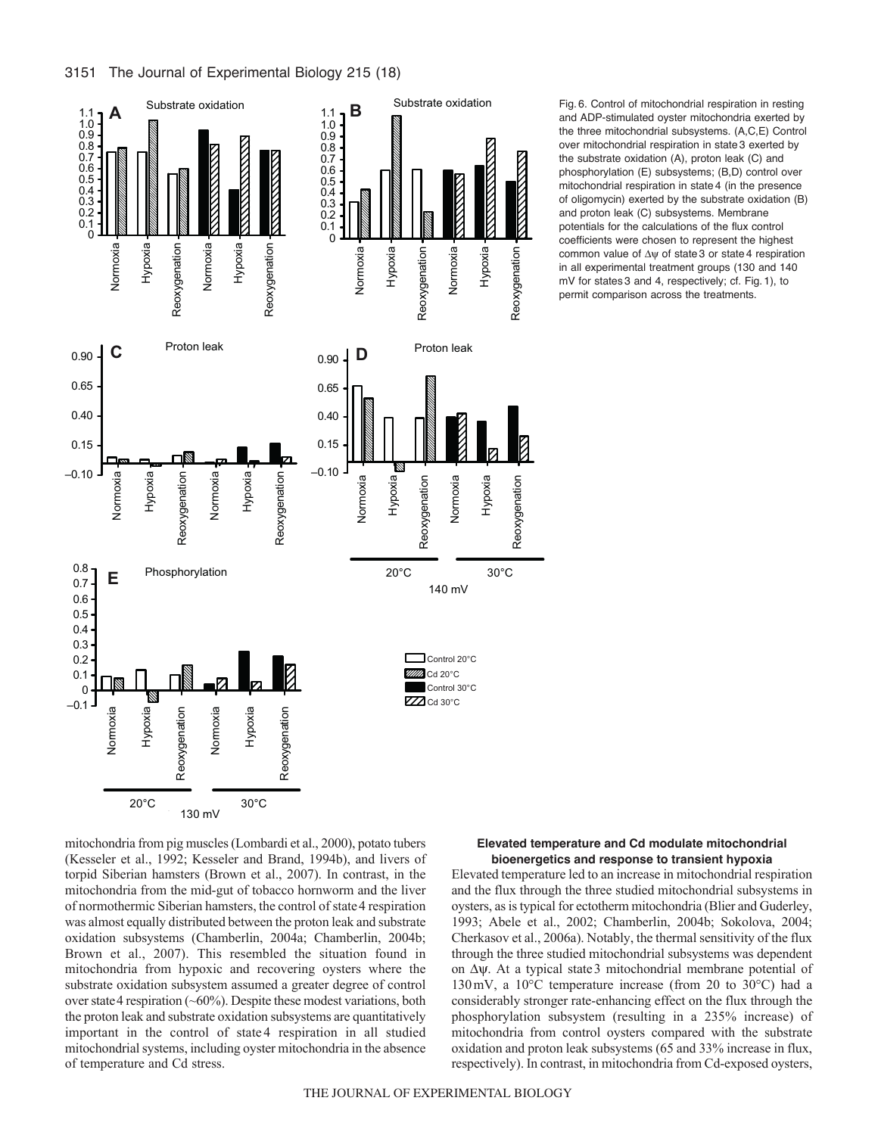



Fig. 6. Control of mitochondrial respiration in resting and ADP-stimulated oyster mitochondria exerted by the three mitochondrial subsystems. (A,C,E) Control over mitochondrial respiration in state 3 exerted by the substrate oxidation (A), proton leak (C) and phosphorylation (E) subsystems; (B,D) control over mitochondrial respiration in state 4 (in the presence of oligomycin) exerted by the substrate oxidation (B) and proton leak (C) subsystems. Membrane potentials for the calculations of the flux control coefficients were chosen to represent the highest common value of  $\Delta \psi$  of state 3 or state 4 respiration in all experimental treatment groups (130 and 140 mV for states 3 and 4, respectively; cf. Fig. 1), to permit comparison across the treatments.

mitochondria from pig muscles (Lombardi et al., 2000), potato tubers (Kesseler et al., 1992; Kesseler and Brand, 1994b), and livers of torpid Siberian hamsters (Brown et al., 2007). In contrast, in the mitochondria from the mid-gut of tobacco hornworm and the liver of normothermic Siberian hamsters, the control of state 4 respiration was almost equally distributed between the proton leak and substrate oxidation subsystems (Chamberlin, 2004a; Chamberlin, 2004b; Brown et al., 2007). This resembled the situation found in mitochondria from hypoxic and recovering oysters where the substrate oxidation subsystem assumed a greater degree of control over state 4 respiration  $(\sim 60\%)$ . Despite these modest variations, both the proton leak and substrate oxidation subsystems are quantitatively important in the control of state 4 respiration in all studied mitochondrial systems, including oyster mitochondria in the absence of temperature and Cd stress.

## **Elevated temperature and Cd modulate mitochondrial bioenergetics and response to transient hypoxia**

Elevated temperature led to an increase in mitochondrial respiration and the flux through the three studied mitochondrial subsystems in oysters, as is typical for ectotherm mitochondria (Blier and Guderley, 1993; Abele et al., 2002; Chamberlin, 2004b; Sokolova, 2004; Cherkasov et al., 2006a). Notably, the thermal sensitivity of the flux through the three studied mitochondrial subsystems was dependent on  $\Delta \psi$ . At a typical state 3 mitochondrial membrane potential of 130mV, a 10°C temperature increase (from 20 to 30°C) had a considerably stronger rate-enhancing effect on the flux through the phosphorylation subsystem (resulting in a 235% increase) of mitochondria from control oysters compared with the substrate oxidation and proton leak subsystems (65 and 33% increase in flux, respectively). In contrast, in mitochondria from Cd-exposed oysters,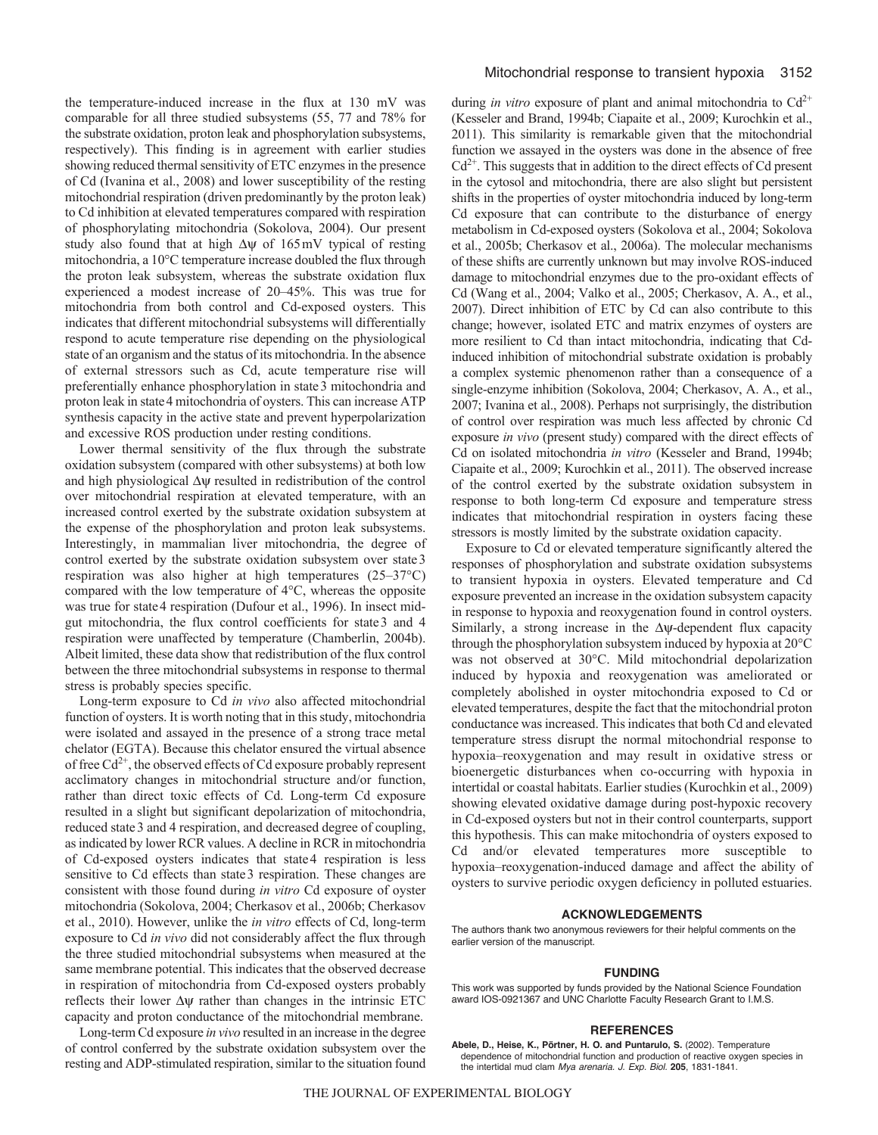the temperature-induced increase in the flux at 130 mV was comparable for all three studied subsystems (55, 77 and 78% for the substrate oxidation, proton leak and phosphorylation subsystems, respectively). This finding is in agreement with earlier studies showing reduced thermal sensitivity of ETC enzymes in the presence of Cd (Ivanina et al., 2008) and lower susceptibility of the resting mitochondrial respiration (driven predominantly by the proton leak) to Cd inhibition at elevated temperatures compared with respiration of phosphorylating mitochondria (Sokolova, 2004). Our present study also found that at high  $\Delta \psi$  of 165mV typical of resting mitochondria, a 10°C temperature increase doubled the flux through the proton leak subsystem, whereas the substrate oxidation flux experienced a modest increase of 20–45%. This was true for mitochondria from both control and Cd-exposed oysters. This indicates that different mitochondrial subsystems will differentially respond to acute temperature rise depending on the physiological state of an organism and the status of its mitochondria. In the absence of external stressors such as Cd, acute temperature rise will preferentially enhance phosphorylation in state3 mitochondria and proton leak in state4 mitochondria of oysters. This can increase ATP synthesis capacity in the active state and prevent hyperpolarization and excessive ROS production under resting conditions.

Lower thermal sensitivity of the flux through the substrate oxidation subsystem (compared with other subsystems) at both low and high physiological  $\Delta \psi$  resulted in redistribution of the control over mitochondrial respiration at elevated temperature, with an increased control exerted by the substrate oxidation subsystem at the expense of the phosphorylation and proton leak subsystems. Interestingly, in mammalian liver mitochondria, the degree of control exerted by the substrate oxidation subsystem over state3 respiration was also higher at high temperatures (25–37°C) compared with the low temperature of 4°C, whereas the opposite was true for state 4 respiration (Dufour et al., 1996). In insect midgut mitochondria, the flux control coefficients for state3 and 4 respiration were unaffected by temperature (Chamberlin, 2004b). Albeit limited, these data show that redistribution of the flux control between the three mitochondrial subsystems in response to thermal stress is probably species specific.

Long-term exposure to Cd *in vivo* also affected mitochondrial function of oysters. It is worth noting that in this study, mitochondria were isolated and assayed in the presence of a strong trace metal chelator (EGTA). Because this chelator ensured the virtual absence of free  $Cd^{2+}$ , the observed effects of Cd exposure probably represent acclimatory changes in mitochondrial structure and/or function, rather than direct toxic effects of Cd. Long-term Cd exposure resulted in a slight but significant depolarization of mitochondria, reduced state3 and 4 respiration, and decreased degree of coupling, as indicated by lower RCR values. A decline in RCR in mitochondria of Cd-exposed oysters indicates that state4 respiration is less sensitive to Cd effects than state 3 respiration. These changes are consistent with those found during *in vitro* Cd exposure of oyster mitochondria (Sokolova, 2004; Cherkasov et al., 2006b; Cherkasov et al., 2010). However, unlike the *in vitro* effects of Cd, long-term exposure to Cd *in vivo* did not considerably affect the flux through the three studied mitochondrial subsystems when measured at the same membrane potential. This indicates that the observed decrease in respiration of mitochondria from Cd-exposed oysters probably reflects their lower  $\Delta \psi$  rather than changes in the intrinsic ETC capacity and proton conductance of the mitochondrial membrane.

Long-term Cd exposure *in vivo* resulted in an increase in the degree of control conferred by the substrate oxidation subsystem over the resting and ADP-stimulated respiration, similar to the situation found during *in vitro* exposure of plant and animal mitochondria to  $Cd^{2+}$ (Kesseler and Brand, 1994b; Ciapaite et al., 2009; Kurochkin et al., 2011). This similarity is remarkable given that the mitochondrial function we assayed in the oysters was done in the absence of free  $Cd<sup>2+</sup>$ . This suggests that in addition to the direct effects of Cd present in the cytosol and mitochondria, there are also slight but persistent shifts in the properties of oyster mitochondria induced by long-term Cd exposure that can contribute to the disturbance of energy metabolism in Cd-exposed oysters (Sokolova et al., 2004; Sokolova et al., 2005b; Cherkasov et al., 2006a). The molecular mechanisms of these shifts are currently unknown but may involve ROS-induced damage to mitochondrial enzymes due to the pro-oxidant effects of Cd (Wang et al., 2004; Valko et al., 2005; Cherkasov, A. A., et al., 2007). Direct inhibition of ETC by Cd can also contribute to this change; however, isolated ETC and matrix enzymes of oysters are more resilient to Cd than intact mitochondria, indicating that Cdinduced inhibition of mitochondrial substrate oxidation is probably a complex systemic phenomenon rather than a consequence of a single-enzyme inhibition (Sokolova, 2004; Cherkasov, A. A., et al., 2007; Ivanina et al., 2008). Perhaps not surprisingly, the distribution of control over respiration was much less affected by chronic Cd exposure *in vivo* (present study) compared with the direct effects of Cd on isolated mitochondria *in vitro* (Kesseler and Brand, 1994b; Ciapaite et al., 2009; Kurochkin et al., 2011). The observed increase of the control exerted by the substrate oxidation subsystem in response to both long-term Cd exposure and temperature stress indicates that mitochondrial respiration in oysters facing these stressors is mostly limited by the substrate oxidation capacity.

Exposure to Cd or elevated temperature significantly altered the responses of phosphorylation and substrate oxidation subsystems to transient hypoxia in oysters. Elevated temperature and Cd exposure prevented an increase in the oxidation subsystem capacity in response to hypoxia and reoxygenation found in control oysters. Similarly, a strong increase in the  $\Delta y$ -dependent flux capacity through the phosphorylation subsystem induced by hypoxia at 20°C was not observed at 30°C. Mild mitochondrial depolarization induced by hypoxia and reoxygenation was ameliorated or completely abolished in oyster mitochondria exposed to Cd or elevated temperatures, despite the fact that the mitochondrial proton conductance was increased. This indicates that both Cd and elevated temperature stress disrupt the normal mitochondrial response to hypoxia–reoxygenation and may result in oxidative stress or bioenergetic disturbances when co-occurring with hypoxia in intertidal or coastal habitats. Earlier studies (Kurochkin et al., 2009) showing elevated oxidative damage during post-hypoxic recovery in Cd-exposed oysters but not in their control counterparts, support this hypothesis. This can make mitochondria of oysters exposed to Cd and/or elevated temperatures more susceptible to hypoxia–reoxygenation-induced damage and affect the ability of oysters to survive periodic oxygen deficiency in polluted estuaries.

### **ACKNOWLEDGEMENTS**

The authors thank two anonymous reviewers for their helpful comments on the earlier version of the manuscript.

#### **FUNDING**

This work was supported by funds provided by the National Science Foundation award IOS-0921367 and UNC Charlotte Faculty Research Grant to I.M.S.

### **REFERENCES**

**Abele, D., Heise, K., Pörtner, H. O. and Puntarulo, S.** (2002). Temperature dependence of mitochondrial function and production of reactive oxygen species in the intertidal mud clam *Mya arenaria. J. Exp. Biol.* **205**, 1831-1841.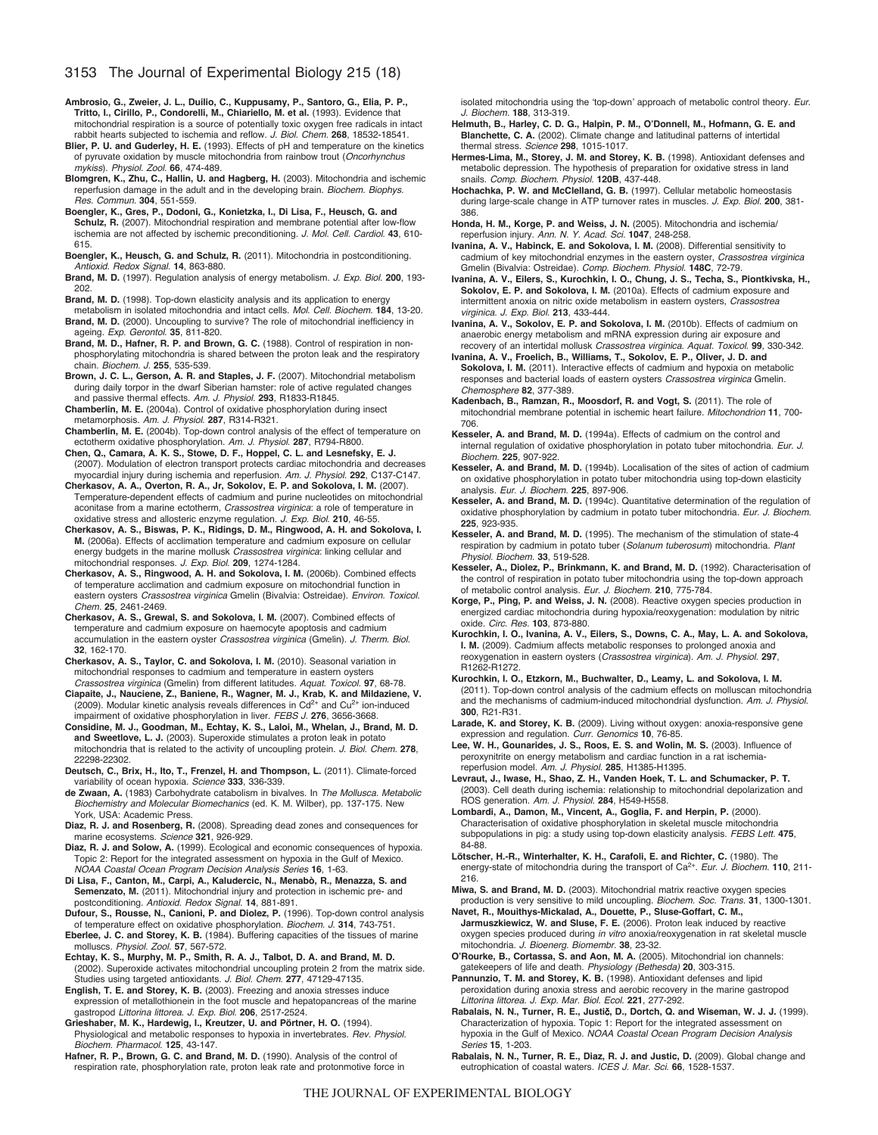# 3153 The Journal of Experimental Biology 215 (18)

- **Ambrosio, G., Zweier, J. L., Duilio, C., Kuppusamy, P., Santoro, G., Elia, P. P., Tritto, I., Cirillo, P., Condorelli, M., Chiariello, M. et al.** (1993). Evidence that mitochondrial respiration is a source of potentially toxic oxygen free radicals in intact rabbit hearts subjected to ischemia and reflow. *J. Biol. Chem.* **268**, 18532-18541.
- **Blier, P. U. and Guderley, H. E.** (1993). Effects of pH and temperature on the kinetics of pyruvate oxidation by muscle mitochondria from rainbow trout (*Oncorhynchus mykiss*). *Physiol. Zool.* **66**, 474-489.
- **Blomgren, K., Zhu, C., Hallin, U. and Hagberg, H.** (2003). Mitochondria and ischemic reperfusion damage in the adult and in the developing brain. *Biochem. Biophys. Res. Commun.* **304**, 551-559.
- **Boengler, K., Gres, P., Dodoni, G., Konietzka, I., Di Lisa, F., Heusch, G. and Schulz, R.** (2007). Mitochondrial respiration and membrane potential after low-flow ischemia are not affected by ischemic preconditioning. *J. Mol. Cell. Cardiol.* **43**, 610- 615.
- **Boengler, K., Heusch, G. and Schulz, R.** (2011). Mitochondria in postconditioning. *Antioxid. Redox Signal.* **14**, 863-880.
- **Brand, M. D.** (1997). Regulation analysis of energy metabolism. *J. Exp. Biol.* **200**, 193- 202.
- **Brand, M. D.** (1998). Top-down elasticity analysis and its application to energy
- metabolism in isolated mitochondria and intact cells. *Mol. Cell. Biochem.* **184**, 13-20. Brand, M. D. (2000). Uncoupling to survive? The role of mitochondrial inefficiency in ageing. *Exp. Gerontol.* **35**, 811-820.
- **Brand, M. D., Hafner, R. P. and Brown, G. C.** (1988). Control of respiration in nonphosphorylating mitochondria is shared between the proton leak and the respiratory chain. *Biochem. J.* **255**, 535-539.
- **Brown, J. C. L., Gerson, A. R. and Staples, J. F.** (2007). Mitochondrial metabolism during daily torpor in the dwarf Siberian hamster: role of active regulated changes and passive thermal effects. *Am. J. Physiol.* **293**, R1833-R1845.
- **Chamberlin, M. E.** (2004a). Control of oxidative phosphorylation during insect metamorphosis. *Am. J. Physiol.* **287**, R314-R321.
- **Chamberlin, M. E.** (2004b). Top-down control analysis of the effect of temperature on ectotherm oxidative phosphorylation. *Am. J. Physiol.* **287**, R794-R800.
- **Chen, Q., Camara, A. K. S., Stowe, D. F., Hoppel, C. L. and Lesnefsky, E. J.** (2007). Modulation of electron transport protects cardiac mitochondria and decreases myocardial injury during ischemia and reperfusion. *Am. J. Physiol.* **292**, C137-C147.
- **Cherkasov, A. A., Overton, R. A., Jr, Sokolov, E. P. and Sokolova, I. M.** (2007). Temperature-dependent effects of cadmium and purine nucleotides on mitochondrial aconitase from a marine ectotherm, *Crassostrea virginica*: a role of temperature in oxidative stress and allosteric enzyme regulation. *J. Exp. Biol.* **210**, 46-55.
- **Cherkasov, A. S., Biswas, P. K., Ridings, D. M., Ringwood, A. H. and Sokolova, I. M.** (2006a). Effects of acclimation temperature and cadmium exposure on cellular energy budgets in the marine mollusk *Crassostrea virginica*: linking cellular and mitochondrial responses. *J. Exp. Biol.* **209**, 1274-1284.
- **Cherkasov, A. S., Ringwood, A. H. and Sokolova, I. M.** (2006b). Combined effects of temperature acclimation and cadmium exposure on mitochondrial function in eastern oysters *Crassostrea virginica* Gmelin (Bivalvia: Ostreidae). *Environ. Toxicol. Chem.* **25**, 2461-2469.
- **Cherkasov, A. S., Grewal, S. and Sokolova, I. M.** (2007). Combined effects of temperature and cadmium exposure on haemocyte apoptosis and cadmium accumulation in the eastern oyster *Crassostrea virginica* (Gmelin). *J. Therm. Biol.* **32**, 162-170.
- **Cherkasov, A. S., Taylor, C. and Sokolova, I. M.** (2010). Seasonal variation in mitochondrial responses to cadmium and temperature in eastern oysters
- *Crassostrea virginica* (Gmelin) from different latitudes. *Aquat. Toxicol.* **97**, 68-78. **Ciapaite, J., Nauciene, Z., Baniene, R., Wagner, M. J., Krab, K. and Mildaziene, V.** (2009). Modular kinetic analysis reveals differences in Cd2+ and Cu2+ ion-induced impairment of oxidative phosphorylation in liver. *FEBS J.* **276**, 3656-3668.
- **Considine, M. J., Goodman, M., Echtay, K. S., Laloi, M., Whelan, J., Brand, M. D. and Sweetlove, L. J.** (2003). Superoxide stimulates a proton leak in potato mitochondria that is related to the activity of uncoupling protein. *J. Biol. Chem.* **278**, 22298-22302.
- **Deutsch, C., Brix, H., Ito, T., Frenzel, H. and Thompson, L.** (2011). Climate-forced variability of ocean hypoxia. *Science* **333**, 336-339.
- **de Zwaan, A.** (1983) Carbohydrate catabolism in bivalves. In *The Mollusca. Metabolic Biochemistry and Molecular Biomechanics* (ed. K. M. Wilber), pp. 137-175. New York, USA: Academic Press.
- **Diaz, R. J. and Rosenberg, R.** (2008). Spreading dead zones and consequences for marine ecosystems. *Science* **321**, 926-929.
- **Diaz, R. J. and Solow, A.** (1999). Ecological and economic consequences of hypoxia. Topic 2: Report for the integrated assessment on hypoxia in the Gulf of Mexico. *NOAA Coastal Ocean Program Decision Analysis Series* **16**, 1-63.
- **Di Lisa, F., Canton, M., Carpi, A., Kaludercic, N., Menabò, R., Menazza, S. and Semenzato, M.** (2011). Mitochondrial injury and protection in ischemic pre- and postconditioning. *Antioxid. Redox Signal.* **14**, 881-891. **Dufour, S., Rousse, N., Canioni, P. and Diolez, P.** (1996). Top-down control analysis
- of temperature effect on oxidative phosphorylation. *Biochem. J.* **314**, 743-751.
- **Eberlee, J. C. and Storey, K. B.** (1984). Buffering capacities of the tissues of marine molluscs. *Physiol. Zool.* **57**, 567-572.
- **Echtay, K. S., Murphy, M. P., Smith, R. A. J., Talbot, D. A. and Brand, M. D.** (2002). Superoxide activates mitochondrial uncoupling protein 2 from the matrix side. Studies using targeted antioxidants. *J. Biol. Chem.* **277**, 47129-47135.
- **English, T. E. and Storey, K. B.** (2003). Freezing and anoxia stresses induce expression of metallothionein in the foot muscle and hepatopancreas of the marine gastropod *Littorina littorea*. *J. Exp. Biol.* **206**, 2517-2524.
- **Grieshaber, M. K., Hardewig, I., Kreutzer, U. and Pörtner, H. O.** (1994). Physiological and metabolic responses to hypoxia in invertebrates. *Rev. Physiol. Biochem. Pharmacol.* **125**, 43-147.
- **Hafner, R. P., Brown, G. C. and Brand, M. D.** (1990). Analysis of the control of respiration rate, phosphorylation rate, proton leak rate and protonmotive force in

isolated mitochondria using the ʻtop-down' approach of metabolic control theory. *Eur. J. Biochem.* **188**, 313-319.

- **Helmuth, B., Harley, C. D. G., Halpin, P. M., O'Donnell, M., Hofmann, G. E. and Blanchette, C. A.** (2002). Climate change and latitudinal patterns of intertidal thermal stress. *Science* **298**, 1015-1017.
- **Hermes-Lima, M., Storey, J. M. and Storey, K. B.** (1998). Antioxidant defenses and metabolic depression. The hypothesis of preparation for oxidative stress in land snails. *Comp. Biochem. Physiol.* **120B**, 437-448.
- **Hochachka, P. W. and McClelland, G. B.** (1997). Cellular metabolic homeostasis during large-scale change in ATP turnover rates in muscles. *J. Exp. Biol.* **200**, 381- 386.
- **Honda, H. M., Korge, P. and Weiss, J. N.** (2005). Mitochondria and ischemia/ reperfusion injury. *Ann. N. Y. Acad. Sci.* **1047**, 248-258.
- **Ivanina, A. V., Habinck, E. and Sokolova, I. M.** (2008). Differential sensitivity to cadmium of key mitochondrial enzymes in the eastern oyster, *Crassostrea virginica* Gmelin (Bivalvia: Ostreidae). *Comp. Biochem. Physiol.* **148C**, 72-79.
- **Ivanina, A. V., Eilers, S., Kurochkin, I. O., Chung, J. S., Techa, S., Piontkivska, H., Sokolov, E. P. and Sokolova, I. M.** (2010a). Effects of cadmium exposure and intermittent anoxia on nitric oxide metabolism in eastern oysters, *Crassostrea virginica. J. Exp. Biol.* **213**, 433-444.
- **Ivanina, A. V., Sokolov, E. P. and Sokolova, I. M.** (2010b). Effects of cadmium on anaerobic energy metabolism and mRNA expression during air exposure and recovery of an intertidal mollusk *Crassostrea virginica. Aquat. Toxicol.* **99**, 330-342.
- **Ivanina, A. V., Froelich, B., Williams, T., Sokolov, E. P., Oliver, J. D. and Sokolova, I. M.** (2011). Interactive effects of cadmium and hypoxia on metabolic responses and bacterial loads of eastern oysters *Crassostrea virginica* Gmelin. *Chemosphere* **82**, 377-389.
- **Kadenbach, B., Ramzan, R., Moosdorf, R. and Vogt, S.** (2011). The role of mitochondrial membrane potential in ischemic heart failure. *Mitochondrion* **11**, 700- 706.
- **Kesseler, A. and Brand, M. D.** (1994a). Effects of cadmium on the control and internal regulation of oxidative phosphorylation in potato tuber mitochondria. *Eur. J. Biochem.* **225**, 907-922.
- **Kesseler, A. and Brand, M. D.** (1994b). Localisation of the sites of action of cadmium on oxidative phosphorylation in potato tuber mitochondria using top-down elasticity analysis. *Eur. J. Biochem.* **225**, 897-906.
- **Kesseler, A. and Brand, M. D.** (1994c). Quantitative determination of the regulation of oxidative phosphorylation by cadmium in potato tuber mitochondria. *Eur. J. Biochem.* **225**, 923-935.
- **Kesseler, A. and Brand, M. D.** (1995). The mechanism of the stimulation of state-4 respiration by cadmium in potato tuber (*Solanum tuberosum*) mitochondria. *Plant Physiol. Biochem.* **33**, 519-528.
- **Kesseler, A., Diolez, P., Brinkmann, K. and Brand, M. D.** (1992). Characterisation of the control of respiration in potato tuber mitochondria using the top-down approach of metabolic control analysis. *Eur. J. Biochem.* **210**, 775-784.
- **Korge, P., Ping, P. and Weiss, J. N.** (2008). Reactive oxygen species production in energized cardiac mitochondria during hypoxia/reoxygenation: modulation by nitric oxide. *Circ. Res.* **103**, 873-880.
- **Kurochkin, I. O., Ivanina, A. V., Eilers, S., Downs, C. A., May, L. A. and Sokolova, I. M.** (2009). Cadmium affects metabolic responses to prolonged anoxia and reoxygenation in eastern oysters (*Crassostrea virginica*)*. Am. J. Physiol.* **297**, R1262-R1272.
- **Kurochkin, I. O., Etzkorn, M., Buchwalter, D., Leamy, L. and Sokolova, I. M.** (2011). Top-down control analysis of the cadmium effects on molluscan mitochondria and the mechanisms of cadmium-induced mitochondrial dysfunction. *Am. J. Physiol.* **300**, R21-R31.
- **Larade, K. and Storey, K. B.** (2009). Living without oxygen: anoxia-responsive gene expression and regulation. *Curr. Genomics* **10**, 76-85.
- **Lee, W. H., Gounarides, J. S., Roos, E. S. and Wolin, M. S.** (2003). Influence of peroxynitrite on energy metabolism and cardiac function in a rat ischemiareperfusion model. *Am. J. Physiol.* **285**, H1385-H1395.
- **Levraut, J., Iwase, H., Shao, Z. H., Vanden Hoek, T. L. and Schumacker, P. T.** (2003). Cell death during ischemia: relationship to mitochondrial depolarization and ROS generation. *Am. J. Physiol.* **284**, H549-H558.
- **Lombardi, A., Damon, M., Vincent, A., Goglia, F. and Herpin, P.** (2000). Characterisation of oxidative phosphorylation in skeletal muscle mitochondria subpopulations in pig: a study using top-down elasticity analysis. *FEBS Lett.* **475**, 84-88.
- **Lötscher, H.-R., Winterhalter, K. H., Carafoli, E. and Richter, C.** (1980). The energy-state of mitochondria during the transport of Ca2+. *Eur. J. Biochem.* **110**, 211- 216.
- **Miwa, S. and Brand, M. D.** (2003). Mitochondrial matrix reactive oxygen species production is very sensitive to mild uncoupling. *Biochem. Soc. Trans.* **31**, 1300-1301. **Navet, R., Mouithys-Mickalad, A., Douette, P., Sluse-Goffart, C. M.,**
- **Jarmuszkiewicz, W. and Sluse, F. E.** (2006). Proton leak induced by reactive oxygen species produced during *in vitro* anoxia/reoxygenation in rat skeletal muscle mitochondria. *J. Bioenerg. Biomembr.* **38**, 23-32.
- **O'Rourke, B., Cortassa, S. and Aon, M. A.** (2005). Mitochondrial ion channels: gatekeepers of life and death. *Physiology (Bethesda)* **20**, 303-315.
- **Pannunzio, T. M. and Storey, K. B.** (1998). Antioxidant defenses and lipid peroxidation during anoxia stress and aerobic recovery in the marine gastropod
- *Littorina littorea*. *J. Exp. Mar. Biol. Ecol.* **221**, 277-292. **Rabalais, N. N., Turner, R. E., Justi**c**, D., Dortch, Q. and Wiseman, W. J. J.** (1999). Characterization of hypoxia. Topic 1: Report for the integrated assessment on hypoxia in the Gulf of Mexico. *NOAA Coastal Ocean Program Decision Analysis Series* **15**, 1-203.
- **Rabalais, N. N., Turner, R. E., Diaz, R. J. and Justic, D.** (2009). Global change and eutrophication of coastal waters. *ICES J. Mar. Sci.* **66**, 1528-1537.